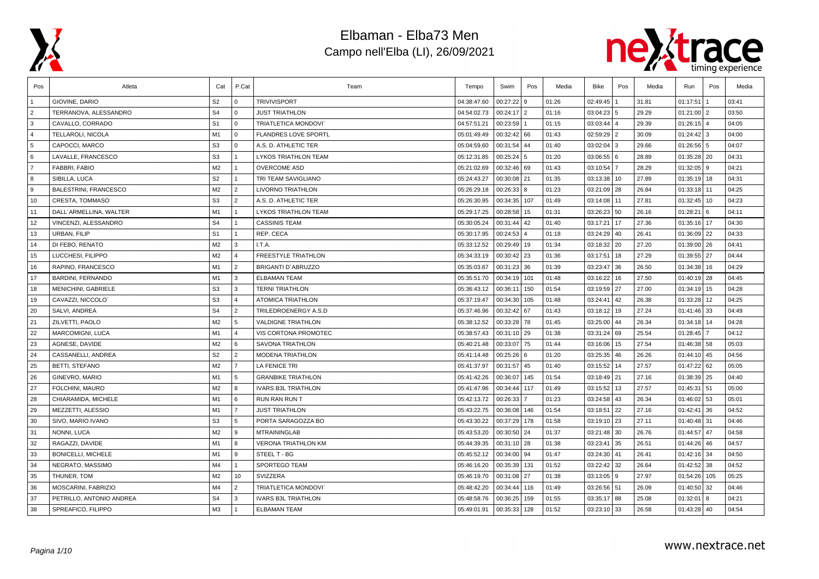



| Pos            | Atleta                       | Cat            | P.Cat                   | Team                        | Tempo       | Swim         | Pos | Media | Bike          | Pos | Media | Run           | Pos            | Media |
|----------------|------------------------------|----------------|-------------------------|-----------------------------|-------------|--------------|-----|-------|---------------|-----|-------|---------------|----------------|-------|
|                | GIOVINE, DARIO               | S <sub>2</sub> | $\overline{0}$          | <b>TRIVIVISPORT</b>         | 04:38:47.60 | 00:27:22     | 9   | 01:26 | 02:49:45      |     | 31.81 | 01:17:51      |                | 03:41 |
| $\overline{2}$ | TERRANOVA, ALESSANDRO        | S <sub>4</sub> | l 0                     | <b>JUST TRIATHLON</b>       | 04:54:02.73 | $00:24:17$ 2 |     | 01:16 | 03:04:23 5    |     | 29.29 | 01:21:00      | l 2            | 03:50 |
| 3              | CAVALLO, CORRADO             | S <sub>1</sub> | $\overline{0}$          | TRIATLETICA MONDOVI'        | 04:57:51.21 | 00:23:59     |     | 01:15 | 03:03:44 4    |     | 29.39 | 01:26:15      | $\overline{4}$ | 04:05 |
| $\overline{4}$ | TELLAROLI, NICOLA            | M1             | $\mathbf{0}$            | <b>FLANDRES LOVE SPORTL</b> | 05:01:49.49 | 00:32:42 66  |     | 01:43 | 02:59:29 2    |     | 30.09 | 01:24:42      | l 3            | 04:00 |
| 5              | CAPOCCI, MARCO               | S <sub>3</sub> | $\overline{0}$          | A.S. D. ATHLETIC TER        | 05:04:59.60 | 00:31:54     | 44  | 01:40 | 03:02:04 3    |     | 29.66 | 01:26:56      | 5              | 04:07 |
| 6              | LAVALLE, FRANCESCO           | S <sub>3</sub> | $\overline{1}$          | LYKOS TRIATHLON TEAM        | 05:12:31.85 | 00:25:24     | 5   | 01:20 | 03:06:55 6    |     | 28.89 | $01:35:28$ 20 |                | 04:31 |
| $\overline{7}$ | FABBRI, FABIO                | M2             | $\vert$ 1               | <b>OVERCOME ASD</b>         | 05:21:02.69 | 00:32:46 69  |     | 01:43 | 03:10:54      |     | 28.29 | 01:32:05      | l 9            | 04:21 |
| 8              | SIBILLA, LUCA                | S <sub>2</sub> | $\overline{1}$          | TRI TEAM SAVIGLIANO         | 05:24:43.27 | 00:30:08 21  |     | 01:35 | 03:13:38 10   |     | 27.89 | 01:35:19      | 18             | 04:31 |
| 9              | <b>BALESTRINI, FRANCESCO</b> | M2             | $\overline{2}$          | <b>LIVORNO TRIATHLON</b>    | 05:26:29.18 | 00:26:33     | 8   | 01:23 | 03:21:09 28   |     | 26.84 | 01:33:18      | 11             | 04:25 |
| 10             | <b>CRESTA, TOMMASO</b>       | S <sub>3</sub> | $\sqrt{2}$              | A.S. D. ATHLETIC TER        | 05:26:30.95 | 00:34:35     | 107 | 01:49 | 03:14:08 11   |     | 27.81 | 01:32:45      | 10             | 04:23 |
| 11             | DALL'ARMELLINA, WALTER       | M <sub>1</sub> | $\overline{1}$          | <b>LYKOS TRIATHLON TEAM</b> | 05:29:17.25 | 00:28:58     | 15  | 01:31 | 03:26:23 50   |     | 26.16 | 01:28:21      | 6              | 04:11 |
| 12             | VINCENZI, ALESSANDRO         | S <sub>4</sub> | $\overline{1}$          | <b>CASSINIS TEAM</b>        | 05:30:05.24 | 00:31:44     | 42  | 01:40 | 03:17:21      | 17  | 27.36 | 01:35:16      | 17             | 04:30 |
| 13             | URBAN, FILIP                 | S <sub>1</sub> | $\overline{1}$          | REP. CECA                   | 05:30:17.95 | 00:24:53     |     | 01:18 | 03:24:29 40   |     | 26.41 | 01:36:09      | 22             | 04:33 |
| 14             | DI FEBO, RENATO              | M2             | $\overline{\mathbf{3}}$ | I.T.A.                      | 05:33:12.52 | 00:29:49     | 19  | 01:34 | 03:18:32 20   |     | 27.20 | 01:39:00      | 26             | 04:41 |
| 15             | LUCCHESI, FILIPPO            | M2             | $\overline{4}$          | FREESTYLE TRIATHLON         | 05:34:33.19 | 00:30:42     | 23  | 01:36 | 03:17:51      | 18  | 27.29 | 01:39:55   27 |                | 04:44 |
| 16             | RAPINO, FRANCESCO            | M <sub>1</sub> | $\overline{2}$          | BRIGANTI D'ABRUZZO          | 05:35:03.67 | 00:31:23     | 36  | 01:39 | 03:23:47 36   |     | 26.50 | 01:34:38      | 16             | 04:29 |
| 17             | BARDINI, FERNANDO            | M1             | l 3                     | <b>ELBAMAN TEAM</b>         | 05:35:51.70 | 00:34:19     | 101 | 01:48 | 03:16:22 16   |     | 27.50 | $01:40:19$ 28 |                | 04:45 |
| 18             | MENICHINI, GABRIELE          | S <sub>3</sub> | l 3                     | <b>TERNI TRIATHLON</b>      | 05:36:43.12 | 00:36:11     | 150 | 01:54 | 03:19:59 27   |     | 27.00 | 01:34:19      | 15             | 04:28 |
| 19             | CAVAZZI, NICCOLO'            | S <sub>3</sub> | $\overline{4}$          | ATOMICA TRIATHLON           | 05:37:19.47 | 00:34:30     | 105 | 01:48 | 03:24:41 42   |     | 26.38 | 01:33:28      | 12             | 04:25 |
| 20             | <b>SALVI. ANDREA</b>         | S <sub>4</sub> | $\overline{2}$          | TRILEDROENERGY A.S.D        | 05:37:46.96 | 00:32:42 67  |     | 01:43 | 03:18:12 19   |     | 27.24 | 01:41:46      | 33             | 04:49 |
| 21             | ZILVETTI, PAOLO              | M2             | 5                       | <b>VALDIGNE TRIATHLON</b>   | 05:38:12.52 | 00:33:28 78  |     | 01:45 | 03:25:00 44   |     | 26.34 | 01:34:18      | 14             | 04:28 |
| 22             | <b>MARCOMIGNI, LUCA</b>      | M <sub>1</sub> | $\overline{4}$          | VIS CORTONA PROMOTEC        | 05:38:57.43 | 00:31:10 29  |     | 01:38 | 03:31:24 69   |     | 25.54 | 01:28:45      | $\overline{7}$ | 04:12 |
| 23             | AGNESE, DAVIDE               | M2             | 6                       | SAVONA TRIATHLON            | 05:40:21.48 | 00:33:07     | 75  | 01:44 | 03:16:06      | 15  | 27.54 | 01:46:38      | 58             | 05:03 |
| 24             | CASSANELLI, ANDREA           | S <sub>2</sub> | $\overline{2}$          | <b>MODENA TRIATHLON</b>     | 05:41:14.48 | 00:25:26 6   |     | 01:20 | 03:25:35 46   |     | 26.26 | 01:44:10      | 45             | 04:56 |
| 25             | <b>BETTI, STEFANO</b>        | M2             | $\overline{7}$          | LA FENICE TRI               | 05:41:37.97 | 00:31:57 45  |     | 01:40 | 03:15:52 14   |     | 27.57 | 01:47:22      | 62             | 05:05 |
| 26             | GINEVRO, MARIO               | M <sub>1</sub> | 5                       | <b>GRANBIKE TRIATHLON</b>   | 05:41:42.26 | 00:36:07     | 145 | 01:54 | $03:18:49$ 21 |     | 27.16 | 01:38:39      | 25             | 04:40 |
| 27             | FOLCHINI, MAURO              | M2             | 8                       | <b>IVARS B3L TRIATHLON</b>  | 05:41:47.96 | 00:34:44     | 117 | 01:49 | 03:15:52 13   |     | 27.57 | 01:45:31      | 51             | 05:00 |
| 28             | CHIARAMIDA, MICHELE          | M <sub>1</sub> | <b>6</b>                | <b>RUN RAN RUN T</b>        | 05:42:13.72 | 00:26:33     |     | 01:23 | 03:24:58 43   |     | 26.34 | 01:46:02      | 53             | 05:01 |
| 29             | MEZZETTI, ALESSIO            | M <sub>1</sub> | l 7                     | <b>JUST TRIATHLON</b>       | 05:43:22.75 | 00:36:08     | 146 | 01:54 | 03:18:51 22   |     | 27.16 | 01:42:41      | 36             | 04:52 |
| 30             | SIVO, MARIO IVANO            | S <sub>3</sub> | 5                       | PORTA SARAGOZZA BO          | 05:43:30.22 | 00:37:29     | 178 | 01:58 | 03:19:10 23   |     | 27.11 | 01:40:48 31   |                | 04:46 |
| 31             | NONNI, LUCA                  | M2             | 9                       | <b>MTRAININGLAB</b>         | 05:43:53.20 | 00:30:50     | 24  | 01:37 | 03:21:48 30   |     | 26.76 | 01:44:57      | 47             | 04:58 |
| 32             | RAGAZZI, DAVIDE              | M <sub>1</sub> | 8                       | <b>VERONA TRIATHLON KM</b>  | 05:44:39.35 | 00:31:10     | 28  | 01:38 | 03:23:41      | 35  | 26.51 | 01:44:26      | 46             | 04:57 |
| 33             | <b>BONICELLI, MICHELE</b>    | M <sub>1</sub> | <b>9</b>                | STEEL T - BG                | 05:45:52.12 | 00:34:00     | 94  | 01:47 | 03:24:30 41   |     | 26.41 | 01:42:16      | 34             | 04:50 |
| 34             | NEGRATO, MASSIMO             | M4             | $\vert$ 1               | SPORTEGO TEAM               | 05:46:16.20 | 00:35:39     | 131 | 01:52 | 03:22:42 32   |     | 26.64 | 01:42:52      | 38             | 04:52 |
| 35             | THUNER, TOM                  | M2             | 10                      | SVIZZERA                    | 05:46:19.70 | 00:31:08     | 27  | 01:38 | 03:13:05 9    |     | 27.97 | 01:54:26      | 105            | 05:25 |
| 36             | MOSCARINI, FABRIZIO          | M4             | $\overline{2}$          | TRIATLETICA MONDOVI'        | 05:48:42.20 | 00:34:44     | 116 | 01:49 | 03:26:56 51   |     | 26.09 | 01:40:50      | 32             | 04:46 |
| 37             | PETRILLO, ANTONIO ANDREA     | S <sub>4</sub> | 3                       | <b>IVARS B3L TRIATHLON</b>  | 05:48:58.76 | 00:36:25     | 159 | 01:55 | 03:35:17 88   |     | 25.08 | 01:32:01      | 8              | 04:21 |
| 38             | SPREAFICO, FILIPPO           | M3             | $\vert$ 1               | <b>ELBAMAN TEAM</b>         | 05:49:01.91 | 00:35:33     | 128 | 01:52 | 03:23:10 33   |     | 26.58 | $01:43:28$ 40 |                | 04:54 |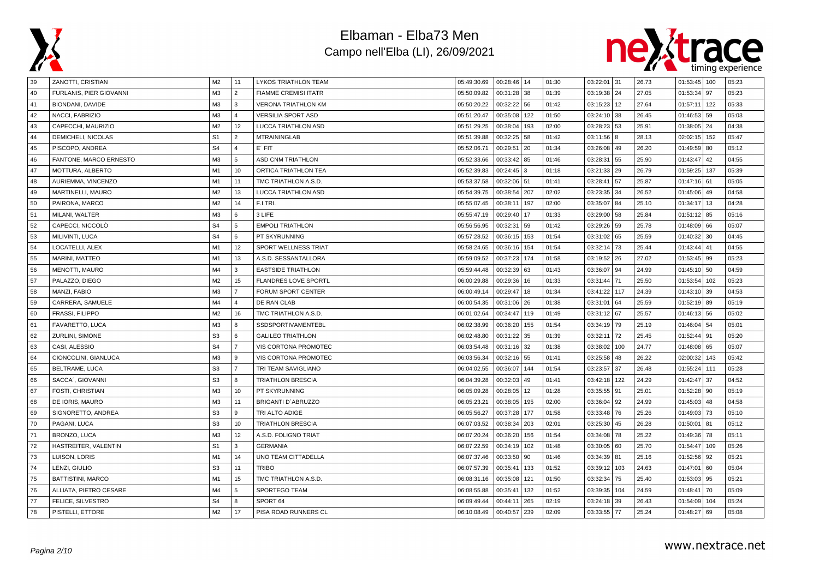



| 39 | ZANOTTI, CRISTIAN        | M <sub>2</sub> | 11                      | LYKOS TRIATHLON TEAM        | 05:49:30.69 | 00:28:46   14 |     | 01:30 | 03:22:01 31  |     | 26.73 | $01:53:45$ 100    | 05:23 |
|----|--------------------------|----------------|-------------------------|-----------------------------|-------------|---------------|-----|-------|--------------|-----|-------|-------------------|-------|
| 40 | FURLANIS, PIER GIOVANNI  | M <sub>3</sub> | $\overline{2}$          | <b>FIAMME CREMISI ITATR</b> | 05:50:09.82 | 00:31:28      | 38  | 01:39 | 03:19:38 24  |     | 27.05 | 01:53:34 97       | 05:23 |
| 41 | <b>BIONDANI, DAVIDE</b>  | M <sub>3</sub> | 3                       | <b>VERONA TRIATHLON KM</b>  | 05:50:20.22 | 00:32:22      | 56  | 01:42 | 03:15:23     | 12  | 27.64 | 01:57:11<br>  122 | 05:33 |
| 42 | NACCI, FABRIZIO          | M3             | $\overline{\mathbf{A}}$ | <b>VERSILIA SPORT ASD</b>   | 05:51:20.47 | 00:35:08      | 122 | 01:50 | 03:24:10     | 38  | 26.45 | $01:46:53$ 59     | 05:03 |
| 43 | CAPECCHI, MAURIZIO       | M <sub>2</sub> | 12                      | LUCCA TRIATHLON ASD         | 05:51:29.25 | 00:38:04      | 193 | 02:00 | 03:28:23 53  |     | 25.91 | $01:38:05$ 24     | 04:38 |
| 44 | DEMICHELI, NICOLAS       | S <sub>1</sub> | $\overline{2}$          | <b>MTRAININGLAB</b>         | 05:51:39.88 | 00:32:25      | 58  | 01:42 | $03:11:56$ 8 |     | 28.13 | 02:02:15 152      | 05:47 |
| 45 | PISCOPO, ANDREA          | S <sub>4</sub> | $\overline{4}$          | $E'$ FIT                    | 05:52:06.71 | 00:29:51      | 20  | 01:34 | 03:26:08     | 49  | 26.20 | 01:49:59   80     | 05:12 |
| 46 | FANTONE, MARCO ERNESTO   | M <sub>3</sub> | 5                       | <b>ASD CNM TRIATHLON</b>    | 05:52:33.66 | 00:33:42      | 85  | 01:46 | 03:28:31     | 55  | 25.90 | $01:43:47$ 42     | 04:55 |
| 47 | MOTTURA, ALBERTO         | M1             | 10                      | ORTICA TRIATHLON TEA        | 05:52:39.83 | 00:24:45      | 3   | 01:18 | 03:21:33 29  |     | 26.79 | 01:59:25   137    | 05:39 |
| 48 | AURIEMMA, VINCENZO       | M1             | 11                      | TMC TRIATHLON A.S.D.        | 05:53:37.58 | 00:32:06      | 51  | 01:41 | 03:28:41     | 57  | 25.87 | $01:47:16$ 61     | 05:05 |
| 49 | MARTINELLI, MAURO        | M <sub>2</sub> | 13                      | <b>LUCCA TRIATHLON ASD</b>  | 05:54:39.75 | 00:38:54      | 207 | 02:02 | 03:23:35     | 34  | 26.52 | 01:45:06 49       | 04:58 |
| 50 | PAIRONA, MARCO           | M <sub>2</sub> | 14                      | F.I.TRI.                    | 05:55:07.45 | 00:38:11      | 197 | 02:00 | 03:35:07     | 84  | 25.10 | $01:34:17$ 13     | 04:28 |
| 51 | MILANI, WALTER           | M <sub>3</sub> | 6                       | 3 LIFE                      | 05:55:47.19 | 00:29:40      | 17  | 01:33 | 03:29:00     | 58  | 25.84 | $01:51:12$ 85     | 05:16 |
| 52 | CAPECCI, NICCOLO         | S <sub>4</sub> | 5                       | <b>EMPOLI TRIATHLON</b>     | 05:56:56.95 | 00:32:31      | 59  | 01:42 | 03:29:26 59  |     | 25.78 | $01:48:09$ 66     | 05:07 |
| 53 | MILIVINTI, LUCA          | S <sub>4</sub> | 6                       | PT SKYRUNNING               | 05:57:28.52 | 00:36:15      | 153 | 01:54 | 03:31:02 65  |     | 25.59 | $01:40:32$ 30     | 04:45 |
| 54 | LOCATELLI, ALEX          | M1             | 12                      | SPORT WELLNESS TRIAT        | 05:58:24.65 | 00:36:16      | 154 | 01:54 | 03:32:14     | 73  | 25.44 | $01:43:44$ 41     | 04:55 |
| 55 | MARINI, MATTEO           | M1             | 13                      | A.S.D. SESSANTALLORA        | 05:59:09.52 | 00:37:23      | 174 | 01:58 | 03:19:52 26  |     | 27.02 | $01:53:45$ 99     | 05:23 |
| 56 | <b>MENOTTI, MAURO</b>    | M4             | 3                       | <b>EASTSIDE TRIATHLON</b>   | 05:59:44.48 | 00:32:39      | 63  | 01:43 | 03:36:07 94  |     | 24.99 | $01:45:10$ 50     | 04:59 |
| 57 | PALAZZO, DIEGO           | M <sub>2</sub> | 15                      | <b>FLANDRES LOVE SPORTL</b> | 06:00:29.88 | 00:29:36      | 16  | 01:33 | 03:31:44     | 71  | 25.50 | 01:53:54   102    | 05:23 |
| 58 | MANZI, FABIO             | M <sub>3</sub> | $\overline{7}$          | FORUM SPORT CENTER          | 06:00:49.14 | 00:29:47      | 18  | 01:34 | 03:41:22     | 117 | 24.39 | $01:43:10$ 39     | 04:53 |
| 59 | CARRERA, SAMUELE         | M4             | $\Delta$                | DE RAN CLAB                 | 06:00:54.35 | 00:31:06      | 26  | 01:38 | 03:31:01     | 64  | 25.59 | $01:52:19$ 89     | 05:19 |
| 60 | <b>FRASSI, FILIPPO</b>   | M <sub>2</sub> | 16                      | TMC TRIATHLON A.S.D.        | 06:01:02.64 | 00:34:47      | 119 | 01:49 | 03:31:12 67  |     | 25.57 | $01:46:13$ 56     | 05:02 |
| 61 | FAVARETTO, LUCA          | M <sub>3</sub> | R                       | SSDSPORTIVAMENTEBL          | 06:02:38.99 | 00:36:20      | 155 | 01:54 | 03:34:19 79  |     | 25.19 | $01:46:04$ 54     | 05:01 |
| 62 | ZURLINI, SIMONE          | S <sub>3</sub> | 6                       | <b>GALILEO TRIATHLON</b>    | 06:02:48.80 | 00:31:22      | 35  | 01:39 | 03:32:11     | 72  | 25.45 | 01:52:44   91     | 05:20 |
| 63 | CASI, ALESSIO            | S <sub>4</sub> | $\overline{7}$          | VIS CORTONA PROMOTEC        | 06:03:54.48 | 00:31:16      | 32  | 01:38 | 03:38:02     | 100 | 24.77 | $01:48:08$ 65     | 05:07 |
| 64 | CIONCOLINI, GIANLUCA     | M <sub>3</sub> | $\mathbf{Q}$            | VIS CORTONA PROMOTEC        | 06:03:56.34 | 00:32:16      | 55  | 01:41 | 03:25:58 48  |     | 26.22 | 02:00:32   143    | 05:42 |
| 65 | BELTRAME, LUCA           | S <sub>3</sub> | $\overline{7}$          | TRI TEAM SAVIGLIANO         | 06:04:02.55 | 00:36:07      | 144 | 01:54 | 03:23:57     | 37  | 26.48 | 01:55:24 111      | 05:28 |
| 66 | SACCA', GIOVANNI         | S <sub>3</sub> | R                       | <b>TRIATHLON BRESCIA</b>    | 06:04:39.28 | 00:32:03      | 49  | 01:41 | 03:42:18     | 122 | 24.29 | 01:42:47<br>l 37  | 04:52 |
| 67 | FOSTI, CHRISTIAN         | M <sub>3</sub> | 10                      | PT SKYRUNNING               | 06:05:09.28 | 00:28:05      | 12  | 01:28 | 03:35:55     | 91  | 25.01 | $01:52:28$ 90     | 05:19 |
| 68 | DE IORIS, MAURO          | M <sub>3</sub> | 11                      | BRIGANTI D'ABRUZZO          | 06:05:23.21 | 00:38:05      | 195 | 02:00 | 03:36:04 92  |     | 24.99 | $01:45:03$ 48     | 04:58 |
| 69 | SIGNORETTO, ANDREA       | S <sub>3</sub> | 9                       | TRI ALTO ADIGE              | 06:05:56.27 | 00:37:28      | 177 | 01:58 | 03:33:48     | 76  | 25.26 | 01:49:03 73       | 05:10 |
| 70 | PAGANI, LUCA             | S <sub>3</sub> | 10                      | <b>TRIATHLON BRESCIA</b>    | 06:07:03.52 | 00:38:34      | 203 | 02:01 | 03:25:30     | 45  | 26.28 | $01:50:01$ 81     | 05:12 |
| 71 | BRONZO, LUCA             | M <sub>3</sub> | 12                      | A.S.D. FOLIGNO TRIAT        | 06:07:20.24 | 00:36:20      | 156 | 01:54 | 03:34:08     | 78  | 25.22 | $01:49:36$ 78     | 05:11 |
| 72 | HASTREITER, VALENTIN     | S <sub>1</sub> | 3                       | <b>GERMANIA</b>             | 06:07:22.59 | 00:34:19      | 102 | 01:48 | 03:30:05 60  |     | 25.70 | 01:54:47   109    | 05:26 |
| 73 | LUISON, LORIS            | M1             | 14                      | <b>UNO TEAM CITTADELLA</b>  | 06:07:37.46 | 00:33:50      | 90  | 01:46 | 03:34:39     | 81  | 25.16 | 01:52:56 92       | 05:21 |
| 74 | LENZI, GIULIO            | S <sub>3</sub> | 11                      | <b>TRIBO</b>                | 06:07:57.39 | 00:35:41      | 133 | 01:52 | 03:39:12     | 103 | 24.63 | 01:47:01<br>60    | 05:04 |
| 75 | <b>BATTISTINI, MARCO</b> | M1             | 15                      | TMC TRIATHLON A.S.D.        | 06:08:31.16 | 00:35:08      | 121 | 01:50 | 03:32:34     | 75  | 25.40 | $01:53:03$ 95     | 05:21 |
| 76 | ALLIATA, PIETRO CESARE   | M4             | $5^{\circ}$             | SPORTEGO TEAM               | 06:08:55.88 | 00:35:41      | 132 | 01:52 | 03:39:35     | 104 | 24.59 | $01:48:41$ 70     | 05:09 |
| 77 | FELICE, SILVESTRO        | S <sub>4</sub> | 8                       | SPORT 64                    | 06:09:49.44 | 00:44:11      | 265 | 02:19 | 03:24:18     | 39  | 26.43 | 01:54:09   104    | 05:24 |
| 78 | PISTELLI, ETTORE         | M <sub>2</sub> | 17                      | PISA ROAD RUNNERS CL        | 06:10:08.49 | 00:40:57      | 239 | 02:09 | 03:33:55 77  |     | 25.24 | $01:48:27$ 69     | 05:08 |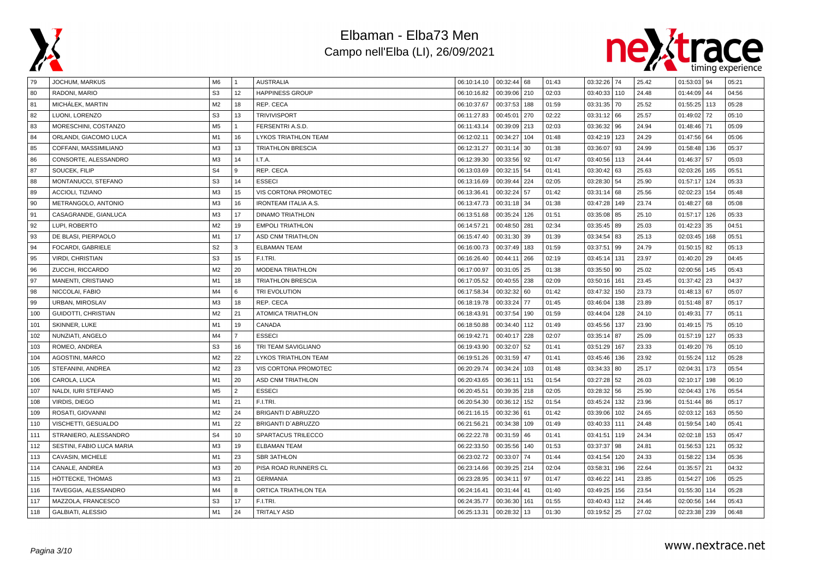



| 79  | <b>JOCHUM, MARKUS</b>     | M6             |                | AUSTRALIA                   | 06:10:14.10 | $00:32:44$ 68 |     | 01:43 | 03:32:26 | 74  | 25.42 | $01:53:03$ 94  |     | 05:21 |
|-----|---------------------------|----------------|----------------|-----------------------------|-------------|---------------|-----|-------|----------|-----|-------|----------------|-----|-------|
| 80  | RADONI, MARIO             | S <sub>3</sub> | 12             | <b>HAPPINESS GROUP</b>      | 06:10:16.82 | 00:39:06 210  |     | 02:03 | 03:40:33 | 110 | 24.48 | $01:44:09$ 44  |     | 04:56 |
| 81  | MICHÁLEK, MARTIN          | M <sub>2</sub> | 18             | REP. CECA                   | 06:10:37.67 | 00:37:53      | 188 | 01:59 | 03:31:35 | 70  | 25.52 | 01:55:25 113   |     | 05:28 |
| 82  | LUONI, LORENZO            | S <sub>3</sub> | 13             | <b>TRIVIVISPORT</b>         | 06:11:27.83 | 00:45:01      | 270 | 02:22 | 03:31:12 | 66  | 25.57 | $01:49:02$ 72  |     | 05:10 |
| 83  | MORESCHINI, COSTANZO      | M <sub>5</sub> |                | FERSENTRI A.S.D.            | 06:11:43.14 | 00:39:09      | 213 | 02:03 | 03:36:32 | 96  | 24.94 | 01:48:46 71    |     | 05:09 |
| 84  | ORLANDI, GIACOMO LUCA     | M1             | 16             | LYKOS TRIATHLON TEAM        | 06:12:02.11 | 00:34:27      | 104 | 01:48 | 03:42:19 | 123 | 24.29 | $01:47:56$ 64  |     | 05:06 |
| 85  | COFFANI, MASSIMILIANO     | M <sub>3</sub> | 13             | <b>TRIATHLON BRESCIA</b>    | 06:12:31.27 | 00:31:14      | 30  | 01:38 | 03:36:07 | 93  | 24.99 | 01:58:48   136 |     | 05:37 |
| 86  | CONSORTE, ALESSANDRO      | M <sub>3</sub> | 14             | I.T.A.                      | 06:12:39.30 | 00:33:56      | 92  | 01:47 | 03:40:56 | 113 | 24.44 | 01:46:37 57    |     | 05:03 |
| 87  | SOUCEK, FILIP             | S <sub>4</sub> | 9              | REP. CECA                   | 06:13:03.69 | 00:32:15      | 54  | 01:41 | 03:30:42 | 63  | 25.63 | 02:03:26       | 165 | 05:51 |
| 88  | MONTANUCCI, STEFANO       | S <sub>3</sub> | 14             | <b>ESSECI</b>               | 06:13:16.69 | 00:39:44      | 224 | 02:05 | 03:28:30 | 54  | 25.90 | 01:57:17       | 124 | 05:33 |
| 89  | ACCIOLI, TIZIANO          | M <sub>3</sub> | 15             | VIS CORTONA PROMOTEC        | 06:13:36.41 | 00:32:24      | 57  | 01:42 | 03:31:14 | 68  | 25.56 | 02:02:23       | 154 | 05:48 |
| 90  | METRANGOLO, ANTONIO       | M <sub>3</sub> | 16             | <b>IRONTEAM ITALIA A.S.</b> | 06:13:47.73 | 00:31:18      | 34  | 01:38 | 03:47:28 | 149 | 23.74 | $01:48:27$ 68  |     | 05:08 |
| 91  | CASAGRANDE, GIANLUCA      | M <sub>3</sub> | 17             | <b>DINAMO TRIATHLON</b>     | 06:13:51.68 | 00:35:24      | 126 | 01:51 | 03:35:08 | 85  | 25.10 | 01:57:17       | 126 | 05:33 |
| 92  | LUPI, ROBERTO             | M <sub>2</sub> | 19             | <b>EMPOLI TRIATHLON</b>     | 06:14:57.21 | 00:48:50      | 281 | 02:34 | 03:35:45 | 89  | 25.03 | $01:42:23$ 35  |     | 04:51 |
| 93  | DE BLASI, PIERPAOLO       | M1             | 17             | ASD CNM TRIATHLON           | 06:15:47.40 | 00:31:30      | 39  | 01:39 | 03:34:54 | 83  | 25.13 | 02:03:45   168 |     | 05:51 |
| 94  | FOCARDI, GABRIELE         | S <sub>2</sub> | 3              | <b>ELBAMAN TEAM</b>         | 06:16:00.73 | 00:37:49      | 183 | 01:59 | 03:37:51 | 99  | 24.79 | $01:50:15$ 82  |     | 05:13 |
| 95  | <b>VIRDI, CHRISTIAN</b>   | S <sub>3</sub> | 15             | F.I.TRI.                    | 06:16:26.40 | 00:44:11      | 266 | 02:19 | 03:45:14 | 131 | 23.97 | $01:40:20$ 29  |     | 04:45 |
| 96  | ZUCCHI, RICCARDO          | M <sub>2</sub> | 20             | <b>MODENA TRIATHLON</b>     | 06:17:00.97 | 00:31:05      | 25  | 01:38 | 03:35:50 | 90  | 25.02 | 02:00:56 145   |     | 05:43 |
| 97  | MANENTI, CRISTIANO        | M1             | 18             | <b>TRIATHLON BRESCIA</b>    | 06:17:05.52 | 00:40:55      | 238 | 02:09 | 03:50:16 | 161 | 23.45 | $01:37:42$ 23  |     | 04:37 |
| 98  | NICCOLAI, FABIO           | M4             | 6              | TRI EVOLUTION               | 06:17:58.34 | 00:32:32      | 60  | 01:42 | 03:47:32 | 150 | 23.73 | $01:48:13$ 67  |     | 05:07 |
| 99  | URBAN, MIROSLAV           | M <sub>3</sub> | 18             | REP. CECA                   | 06:18:19.78 | 00:33:24      | 77  | 01:45 | 03:46:04 | 138 | 23.89 | $01:51:48$ 87  |     | 05:17 |
| 100 | GUIDOTTI, CHRISTIAN       | M <sub>2</sub> | 21             | <b>ATOMICA TRIATHLON</b>    | 06:18:43.91 | 00:37:54      | 190 | 01:59 | 03:44:04 | 128 | 24.10 | 01:49:31 77    |     | 05:11 |
| 101 | SKINNER, LUKE             | M1             | 19             | CANADA                      | 06:18:50.88 | 00:34:40      | 112 | 01:49 | 03:45:56 | 137 | 23.90 | $01:49:15$ 75  |     | 05:10 |
| 102 | NUNZIATI, ANGELO          | M4             | $\overline{7}$ | <b>ESSECI</b>               | 06:19:42.71 | 00:40:17      | 228 | 02:07 | 03:35:14 | 87  | 25.09 | 01:57:19 127   |     | 05:33 |
| 103 | ROMEO, ANDREA             | S <sub>3</sub> | 16             | TRI TEAM SAVIGLIANO         | 06:19:43.90 | 00:32:07      | 52  | 01:41 | 03:51:29 | 167 | 23.33 | $01:49:20$ 76  |     | 05:10 |
| 104 | <b>AGOSTINI, MARCO</b>    | M <sub>2</sub> | 22             | LYKOS TRIATHLON TEAM        | 06:19:51.26 | 00:31:59      | 47  | 01:41 | 03:45:46 | 136 | 23.92 | 01:55:24 112   |     | 05:28 |
| 105 | STEFANINI, ANDREA         | M <sub>2</sub> | 23             | VIS CORTONA PROMOTEC        | 06:20:29.74 | 00:34:24      | 103 | 01:48 | 03:34:33 | 80  | 25.17 | 02:04:31       | 173 | 05:54 |
| 106 | CAROLA, LUCA              | M1             | 20             | <b>ASD CNM TRIATHLON</b>    | 06:20:43.65 | 00:36:11      | 151 | 01:54 | 03:27:28 | 52  | 26.03 | 02:10:17       | 198 | 06:10 |
| 107 | NALDI, IURI STEFANO       | M <sub>5</sub> | $\overline{2}$ | <b>ESSECI</b>               | 06:20:45.51 | 00:39:35      | 218 | 02:05 | 03:28:32 | 56  | 25.90 | 02:04:43       | 176 | 05:54 |
| 108 | VIRDIS, DIEGO             | M1             | 21             | F.I.TRI.                    | 06:20:54.30 | 00:36:12      | 152 | 01:54 | 03:45:24 | 132 | 23.96 | $01:51:44$ 86  |     | 05:17 |
| 109 | ROSATI, GIOVANNI          | M <sub>2</sub> | 24             | <b>BRIGANTI D'ABRUZZO</b>   | 06:21:16.15 | 00:32:36      | 61  | 01:42 | 03:39:06 | 102 | 24.65 | 02:03:12 163   |     | 05:50 |
| 110 | VISCHETTI, GESUALDO       | M1             | 22             | <b>BRIGANTI D'ABRUZZO</b>   | 06:21:56.21 | 00:34:38      | 109 | 01:49 | 03:40:33 | 111 | 24.48 | 01:59:54       | 140 | 05:41 |
| 111 | STRANIERO, ALESSANDRO     | S <sub>4</sub> | 10             | SPARTACUS TRILECCO          | 06:22:22.78 | 00:31:59      | 46  | 01:41 | 03:41:51 | 119 | 24.34 | 02:02:18       | 153 | 05:47 |
| 112 | SESTINI. FABIO LUCA MARIA | M <sub>3</sub> | 19             | <b>ELBAMAN TEAM</b>         | 06:22:33.50 | 00:35:56      | 140 | 01:53 | 03:37:37 | 98  | 24.81 | 01:56:53       | 121 | 05:32 |
| 113 | CAVASIN, MICHELE          | M1             | 23             | <b>SBR 3ATHLON</b>          | 06:23:02.72 | 00:33:07      | 74  | 01:44 | 03:41:54 | 120 | 24.33 | 01:58:22       | 134 | 05:36 |
| 114 | CANALE, ANDREA            | M <sub>3</sub> | 20             | PISA ROAD RUNNERS CL        | 06:23:14.66 | 00:39:25      | 214 | 02:04 | 03:58:31 | 196 | 22.64 | 01:35:57       | 21  | 04:32 |
| 115 | HÖTTECKE, THOMAS          | M <sub>3</sub> | 21             | <b>GERMANIA</b>             | 06:23:28.95 | 00:34:11      | 97  | 01:47 | 03:46:22 | 141 | 23.85 | 01:54:27       | 106 | 05:25 |
| 116 | TAVEGGIA, ALESSANDRO      | M4             | 8              | ORTICA TRIATHLON TEA        | 06:24:16.41 | 00:31:44      | 41  | 01:40 | 03:49:25 | 156 | 23.54 | 01:55:30 114   |     | 05:28 |
| 117 | MAZZOLA, FRANCESCO        | S3             | 17             | F.I.TRI.                    | 06:24:35.77 | 00:36:30      | 161 | 01:55 | 03:40:43 | 112 | 24.46 | 02:00:56       | 144 | 05:43 |
| 118 | <b>GALBIATI, ALESSIO</b>  | M1             | 24             | <b>TRITALY ASD</b>          | 06:25:13.31 | 00:28:32      | 13  | 01:30 | 03:19:52 | 25  | 27.02 | 02:23:38   239 |     | 06:48 |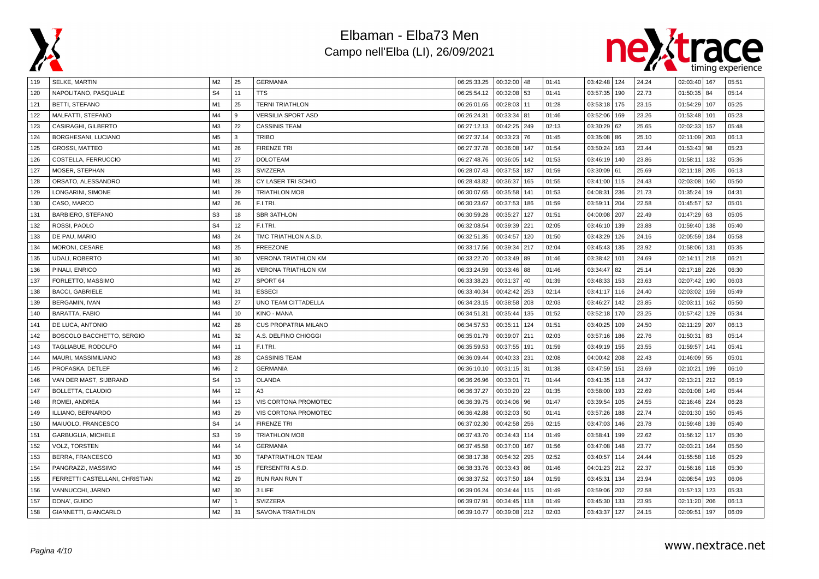



| 119 | SELKE, MARTIN                  | M2             | 25             | <b>GERMANIA</b>             | 06:25:33.25 | 00:32:00 48 |     | 01:41 | 03:42:48 124 |     | 24.24 | 02:03:40   167    | 05:51 |
|-----|--------------------------------|----------------|----------------|-----------------------------|-------------|-------------|-----|-------|--------------|-----|-------|-------------------|-------|
| 120 | NAPOLITANO, PASQUALE           | S <sub>4</sub> | 11             | <b>TTS</b>                  | 06:25:54.12 | 00:32:08    | 53  | 01:41 | 03:57:35     | 190 | 22.73 | $01:50:35$ 84     | 05:14 |
| 121 | <b>BETTI, STEFANO</b>          | M1             | 25             | <b>TERNI TRIATHLON</b>      | 06:26:01.65 | 00:28:03    | 11  | 01:28 | 03:53:18     | 175 | 23.15 | 01:54:29 107      | 05:25 |
| 122 | MALFATTI, STEFANO              | M4             | 9              | <b>VERSILIA SPORT ASD</b>   | 06:26:24.31 | 00:33:34    | 81  | 01:46 | 03:52:06     | 169 | 23.26 | $01:53:48$ 101    | 05:23 |
| 123 | CASIRAGHI, GILBERTO            | M <sub>3</sub> | 22             | <b>CASSINIS TEAM</b>        | 06:27:12.13 | 00:42:25    | 249 | 02:13 | 03:30:29     | 62  | 25.65 | 02:02:33 157      | 05:48 |
| 124 | BORGHESANI, LUCIANO            | M <sub>5</sub> | 3              | <b>TRIBO</b>                | 06:27:37.14 | 00:33:23    | 76  | 01:45 | 03:35:08 86  |     | 25.10 | 02:11:09   203    | 06:13 |
| 125 | <b>GROSSI, MATTEO</b>          | M1             | 26             | <b>FIRENZE TRI</b>          | 06:27:37.78 | 00:36:08    | 147 | 01:54 | 03:50:24     | 163 | 23.44 | 01:53:43   98     | 05:23 |
| 126 | COSTELLA, FERRUCCIO            | M1             | 27             | <b>DOLOTEAM</b>             | 06:27:48.76 | 00:36:05    | 142 | 01:53 | 03:46:19     | 140 | 23.86 | 01:58:11<br>  132 | 05:36 |
| 127 | MOSER, STEPHAN                 | M <sub>3</sub> | 23             | SVIZZERA                    | 06:28:07.43 | 00:37:53    | 187 | 01:59 | 03:30:09     | 61  | 25.69 | 02:11:18 205      | 06:13 |
| 128 | ORSATO, ALESSANDRO             | M1             | 28             | CY LASER TRI SCHIO          | 06:28:43.82 | 00:36:37    | 165 | 01:55 | 03:41:00     | 115 | 24.43 | 02:03:08   160    | 05:50 |
| 129 | LONGARINI, SIMONE              | M1             | 29             | <b>TRIATHLON MOB</b>        | 06:30:07.65 | 00:35:58    | 141 | 01:53 | 04:08:31     | 236 | 21.73 | $01:35:24$ 19     | 04:31 |
| 130 | CASO, MARCO                    | M <sub>2</sub> | 26             | F.I.TRI.                    | 06:30:23.67 | 00:37:53    | 186 | 01:59 | 03:59:11     | 204 | 22.58 | 52<br>01:45:57    | 05:01 |
| 131 | <b>BARBIERO, STEFANO</b>       | S <sub>3</sub> | 18             | <b>SBR 3ATHLON</b>          | 06:30:59.28 | 00:35:27    | 127 | 01:51 | 04:00:08     | 207 | 22.49 | $01:47:29$ 63     | 05:05 |
| 132 | ROSSI, PAOLO                   | S <sub>4</sub> | 12             | F.I.TRI.                    | 06:32:08.54 | 00:39:39    | 221 | 02:05 | 03:46:10     | 139 | 23.88 | 01:59:40   138    | 05:40 |
| 133 | DE PAU, MARIO                  | M <sub>3</sub> | 24             | TMC TRIATHLON A.S.D.        | 06:32:51.35 | 00:34:57    | 120 | 01:50 | 03:43:29     | 126 | 24.16 | 02:05:59 184      | 05:58 |
| 134 | <b>MORONI, CESARE</b>          | M3             | 25             | <b>FREEZONE</b>             | 06:33:17.56 | 00:39:34    | 217 | 02:04 | 03:45:43     | 135 | 23.92 | 01:58:06   131    | 05:35 |
| 135 | <b>UDALI, ROBERTO</b>          | M1             | 30             | <b>VERONA TRIATHLON KM</b>  | 06:33:22.70 | 00:33:49    | 89  | 01:46 | 03:38:42     | 101 | 24.69 | 02:14:11 218      | 06:21 |
| 136 | PINALI, ENRICO                 | M <sub>3</sub> | 26             | <b>VERONA TRIATHLON KM</b>  | 06:33:24.59 | 00:33:46    | 88  | 01:46 | 03:34:47     | 82  | 25.14 | 02:17:18 226      | 06:30 |
| 137 | FORLETTO, MASSIMO              | M <sub>2</sub> | 27             | SPORT 64                    | 06:33:38.23 | 00:31:37    | 40  | 01:39 | 03:48:33     | 153 | 23.63 | 02:07:42   190    | 06:03 |
| 138 | <b>BACCI, GABRIELE</b>         | M1             | 31             | <b>ESSECI</b>               | 06:33:40.34 | 00:42:42    | 253 | 02:14 | 03:41:17     | 116 | 24.40 | 02:03:02<br>159   | 05:49 |
| 139 | BERGAMIN, IVAN                 | M3             | 27             | UNO TEAM CITTADELLA         | 06:34:23.15 | 00:38:58    | 208 | 02:03 | 03:46:27     | 142 | 23.85 | 02:03:11<br>162   | 05:50 |
| 140 | <b>BARATTA, FABIO</b>          | M4             | 10             | KINO - MANA                 | 06:34:51.31 | 00:35:44    | 135 | 01:52 | 03:52:18     | 170 | 23.25 | 01:57:42 129      | 05:34 |
| 141 | DE LUCA, ANTONIO               | M <sub>2</sub> | 28             | <b>CUS PROPATRIA MILANO</b> | 06:34:57.53 | 00:35:11    | 124 | 01:51 | 03:40:25     | 109 | 24.50 | 02:11:29 207      | 06:13 |
| 142 | BOSCOLO BACCHETTO, SERGIO      | M1             | 32             | A.S. DELFINO CHIOGGI        | 06:35:01.79 | 00:39:07    | 211 | 02:03 | 03:57:16     | 186 | 22.76 | 01:50:31<br>83    | 05:14 |
| 143 | TAGLIABUE, RODOLFO             | M4             | 11             | F.I.TRI.                    | 06:35:59.53 | 00:37:55    | 191 | 01:59 | 03:49:19     | 155 | 23.55 | 01:59:57 141      | 05:41 |
| 144 | MAURI, MASSIMILIANO            | M3             | . 28           | <b>CASSINIS TEAM</b>        | 06:36:09.44 | 00:40:33    | 231 | 02:08 | 04:00:42     | 208 | 22.43 | $01:46:09$ 55     | 05:01 |
| 145 | PROFASKA, DETLEF               | M <sub>6</sub> | $\overline{2}$ | <b>GERMANIA</b>             | 06:36:10.10 | 00:31:15    | 31  | 01:38 | 03:47:59     | 151 | 23.69 | 02:10:21<br>199   | 06:10 |
| 146 | VAN DER MAST, SIJBRAND         | S <sub>4</sub> | 13             | <b>OLANDA</b>               | 06:36:26.96 | 00:33:01    | 71  | 01:44 | 03:41:35     | 118 | 24.37 | 212<br>02:13:21   | 06:19 |
| 147 | BOLLETTA, CLAUDIO              | M4             | 12             | A3                          | 06:36:37.27 | 00:30:20    | 22  | 01:35 | 03:58:00     | 193 | 22.69 | 02:01:08   149    | 05:44 |
| 148 | ROMEI, ANDREA                  | M4             | 13             | VIS CORTONA PROMOTEC        | 06:36:39.75 | 00:34:06    | 96  | 01:47 | 03:39:54     | 105 | 24.55 | 02:16:46   224    | 06:28 |
| 149 | ILLIANO, BERNARDO              | M3             | 29             | VIS CORTONA PROMOTEC        | 06:36:42.88 | 00:32:03    | 50  | 01:41 | 03:57:26     | 188 | 22.74 | 02:01:30   150    | 05:45 |
| 150 | MAIUOLO, FRANCESCO             | S <sub>4</sub> | 14             | <b>FIRENZE TRI</b>          | 06:37:02.30 | 00:42:58    | 256 | 02:15 | 03:47:03     | 146 | 23.78 | 01:59:48   139    | 05:40 |
| 151 | <b>GARBUGLIA, MICHELE</b>      | S <sub>3</sub> | 19             | <b>TRIATHLON MOB</b>        | 06:37:43.70 | 00:34:43    | 114 | 01:49 | 03:58:41     | 199 | 22.62 | 01:56:12 117      | 05:30 |
| 152 | <b>VOLZ, TORSTEN</b>           | M4             | 14             | <b>GERMANIA</b>             | 06:37:45.58 | 00:37:00    | 167 | 01:56 | 03:47:08     | 148 | 23.77 | 02:03:21<br>  164 | 05:50 |
| 153 | BERRA, FRANCESCO               | M <sub>3</sub> | 30             | <b>TAPATRIATHLON TEAM</b>   | 06:38:17.38 | 00:54:32    | 295 | 02:52 | 03:40:57     | 114 | 24.44 | 01:55:58 116      | 05:29 |
| 154 | PANGRAZZI, MASSIMO             | M4             | 15             | FERSENTRI A.S.D.            | 06:38:33.76 | 00:33:43    | 86  | 01:46 | 04:01:23     | 212 | 22.37 | 01:56:16 118      | 05:30 |
| 155 | FERRETTI CASTELLANI, CHRISTIAN | M <sub>2</sub> | 29             | <b>RUN RAN RUN T</b>        | 06:38:37.52 | 00:37:50    | 184 | 01:59 | 03:45:31     | 134 | 23.94 | 02:08:54<br>193   | 06:06 |
| 156 | VANNUCCHI, JARNO               | M <sub>2</sub> | 30             | 3 LIFE                      | 06:39:06.24 | 00:34:44    | 115 | 01:49 | 03:59:06     | 202 | 22.58 | 01:57:13 123      | 05:33 |
| 157 | DONA', GUIDO                   | M7             |                | SVIZZERA                    | 06:39:07.91 | 00:34:45    | 118 | 01:49 | 03:45:30     | 133 | 23.95 | 02:11:20   206    | 06:13 |
| 158 | GIANNETTI, GIANCARLO           | M2             | 31             | <b>SAVONA TRIATHLON</b>     | 06:39:10.77 | 00:39:08    | 212 | 02:03 | 03:43:37     | 127 | 24.15 | 02:09:51   197    | 06:09 |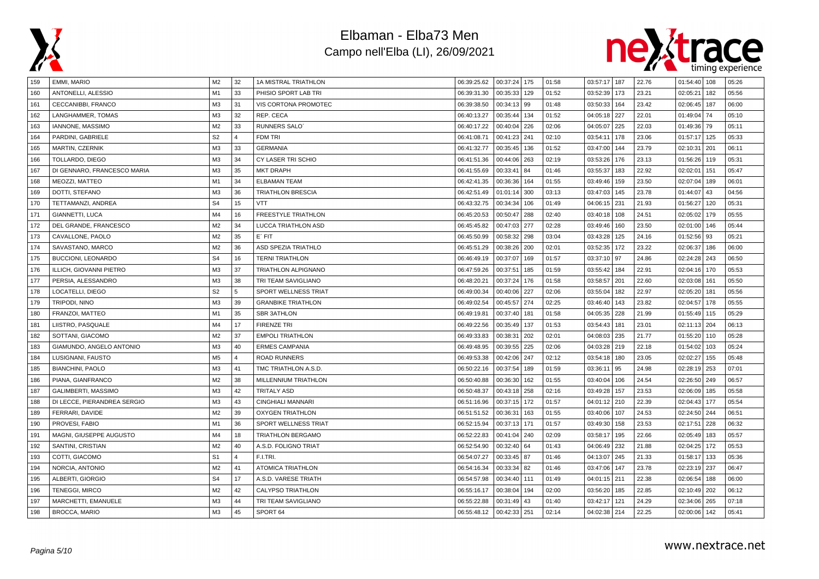



| 159 | EMMI, MARIO                 | M <sub>2</sub> | 32             | 1A MISTRAL TRIATHLON        | 06:39:25.62 | 00:37:24 175 |     | 01:58 | 03:57:17 187 |     | 22.76 | $01:54:40$   108 |     | 05:26 |
|-----|-----------------------------|----------------|----------------|-----------------------------|-------------|--------------|-----|-------|--------------|-----|-------|------------------|-----|-------|
| 160 | ANTONELLI, ALESSIO          | M1             | 33             | PHISIO SPORT LAB TRI        | 06:39:31.30 | 00:35:33     | 129 | 01:52 | 03:52:39     | 173 | 23.21 | 02:05:21         | 182 | 05:56 |
| 161 | CECCANIBBI, FRANCO          | M <sub>3</sub> | 31             | <b>VIS CORTONA PROMOTEC</b> | 06:39:38.50 | 00:34:13     | 99  | 01:48 | 03:50:33     | 164 | 23.42 | 02:06:45         | 187 | 06:00 |
| 162 | LANGHAMMER, TOMAS           | M3             | 32             | REP. CECA                   | 06:40:13.27 | 00:35:44     | 134 | 01:52 | 04:05:18     | 227 | 22.01 | 01:49:04         | 74  | 05:10 |
| 163 | IANNONE, MASSIMO            | M <sub>2</sub> | 33             | <b>RUNNERS SALO</b>         | 06:40:17.22 | 00:40:04     | 226 | 02:06 | 04:05:07     | 225 | 22.03 | 01:49:36 79      |     | 05:11 |
| 164 | PARDINI, GABRIELE           | S <sub>2</sub> | $\overline{4}$ | FDM TRI                     | 06:41:08.71 | 00:41:23     | 241 | 02:10 | 03:54:11     | 178 | 23.06 | 01:57:17 125     |     | 05:33 |
| 165 | <b>MARTIN, CZERNIK</b>      | M <sub>3</sub> | 33             | <b>GERMANIA</b>             | 06:41:32.77 | 00:35:45     | 136 | 01:52 | 03:47:00     | 144 | 23.79 | 02:10:31         | 201 | 06:11 |
| 166 | TOLLARDO, DIEGO             | M <sub>3</sub> | 34             | CY LASER TRI SCHIO          | 06:41:51.36 | 00:44:06     | 263 | 02:19 | 03:53:26     | 176 | 23.13 | 01:56:26         | 119 | 05:31 |
| 167 | DI GENNARO, FRANCESCO MARIA | M <sub>3</sub> | 35             | <b>MKT DRAPH</b>            | 06:41:55.69 | 00:33:41     | 84  | 01:46 | 03:55:37     | 183 | 22.92 | 02:02:01         | 151 | 05:47 |
| 168 | MEOZZI, MATTEO              | M1             | 34             | <b>ELBAMAN TEAM</b>         | 06:42:41.35 | 00:36:36     | 164 | 01:55 | 03:49:46     | 159 | 23.50 | 02:07:04         | 189 | 06:01 |
| 169 | DOTTI, STEFANO              | M <sub>3</sub> | 36             | <b>TRIATHLON BRESCIA</b>    | 06:42:51.49 | 01:01:14     | 300 | 03:13 | 03:47:03     | 145 | 23.78 | 01:44:07         | 43  | 04:56 |
| 170 | TETTAMANZI, ANDREA          | S <sub>4</sub> | 15             | <b>VTT</b>                  | 06:43:32.75 | 00:34:34     | 106 | 01:49 | 04:06:15     | 231 | 21.93 | 01:56:27         | 120 | 05:31 |
| 171 | GIANNETTI, LUCA             | M4             | 16             | FREESTYLE TRIATHLON         | 06:45:20.53 | 00:50:47     | 288 | 02:40 | 03:40:18     | 108 | 24.51 | 02:05:02         | 179 | 05:55 |
| 172 | DEL GRANDE, FRANCESCO       | M <sub>2</sub> | 34             | LUCCA TRIATHLON ASD         | 06:45:45.82 | 00:47:03     | 277 | 02:28 | 03:49:46     | 160 | 23.50 | 02:01:00 146     |     | 05:44 |
| 173 | CAVALLONE, PAOLO            | M <sub>2</sub> | 35             | $E'$ FIT                    | 06:45:50.99 | 00:58:32     | 298 | 03:04 | 03:43:28     | 125 | 24.16 | $01:52:56$ 93    |     | 05:21 |
| 174 | SAVASTANO, MARCO            | M <sub>2</sub> | 36             | ASD SPEZIA TRIATHLO         | 06:45:51.29 | 00:38:26     | 200 | 02:01 | 03:52:35     | 172 | 23.22 | 02:06:37         | 186 | 06:00 |
| 175 | BUCCIONI, LEONARDO          | S <sub>4</sub> | 16             | <b>TERNI TRIATHLON</b>      | 06:46:49.19 | 00:37:07     | 169 | 01:57 | 03:37:10     | 97  | 24.86 | 02:24:28 243     |     | 06:50 |
| 176 | ILLICH, GIOVANNI PIETRO     | M <sub>3</sub> | 37             | TRIATHLON ALPIGNANO         | 06:47:59.26 | 00:37:51     | 185 | 01:59 | 03:55:42     | 184 | 22.91 | 02:04:16 170     |     | 05:53 |
| 177 | PERSIA, ALESSANDRO          | M <sub>3</sub> | 38             | TRI TEAM SAVIGLIANO         | 06:48:20.21 | 00:37:24     | 176 | 01:58 | 03:58:57     | 201 | 22.60 | 02:03:08         | 161 | 05:50 |
| 178 | LOCATELLI, DIEGO            | S <sub>2</sub> | 5              | SPORT WELLNESS TRIAT        | 06:49:00.34 | 00:40:06     | 227 | 02:06 | 03:55:04     | 182 | 22.97 | 02:05:20         | 181 | 05:56 |
| 179 | TRIPODI, NINO               | M <sub>3</sub> | 39             | <b>GRANBIKE TRIATHLON</b>   | 06:49:02.54 | 00:45:57     | 274 | 02:25 | 03:46:40     | 143 | 23.82 | 02:04:57         | 178 | 05:55 |
| 180 | FRANZOI, MATTEO             | M1             | 35             | <b>SBR 3ATHLON</b>          | 06:49:19.81 | 00:37:40     | 181 | 01:58 | 04:05:35     | 228 | 21.99 | 01:55:49 115     |     | 05:29 |
| 181 | LIISTRO, PASQUALE           | M4             | 17             | <b>FIRENZE TRI</b>          | 06:49:22.56 | 00:35:49     | 137 | 01:53 | 03:54:43     | 181 | 23.01 | 02:11:13 204     |     | 06:13 |
| 182 | SOTTANI, GIACOMO            | M <sub>2</sub> | 37             | <b>EMPOLI TRIATHLON</b>     | 06:49:33.83 | 00:38:31     | 202 | 02:01 | 04:08:03     | 235 | 21.77 | 01:55:20         | 110 | 05:28 |
| 183 | GIAMUNDO, ANGELO ANTONIO    | M <sub>3</sub> | 40             | <b>ERMES CAMPANIA</b>       | 06:49:48.95 | 00:39:55     | 225 | 02:06 | 04:03:28     | 219 | 22.18 | 01:54:02         | 103 | 05:24 |
| 184 | LUSIGNANI, FAUSTO           | M <sub>5</sub> | $\Delta$       | <b>ROAD RUNNERS</b>         | 06:49:53.38 | 00:42:06     | 247 | 02:12 | 03:54:18     | 180 | 23.05 | 02:02:27         | 155 | 05:48 |
| 185 | <b>BIANCHINI, PAOLO</b>     | M <sub>3</sub> | 41             | TMC TRIATHLON A.S.D.        | 06:50:22.16 | 00:37:54     | 189 | 01:59 | 03:36:11     | 95  | 24.98 | 02:28:19         | 253 | 07:01 |
| 186 | PIANA, GIANFRANCO           | M <sub>2</sub> | 38             | MILLENNIUM TRIATHLON        | 06:50:40.88 | 00:36:30     | 162 | 01:55 | 03:40:04     | 106 | 24.54 | 02:26:50         | 249 | 06:57 |
| 187 | GALIMBERTI, MASSIMO         | M <sub>3</sub> | 42             | <b>TRITALY ASD</b>          | 06:50:48.37 | 00:43:18     | 258 | 02:16 | 03:49:28     | 157 | 23.53 | 02:06:09         | 185 | 05:58 |
| 188 | DI LECCE, PIERANDREA SERGIO | M <sub>3</sub> | 43             | <b>CINGHIALI MANNARI</b>    | 06:51:16.96 | 00:37:15     | 172 | 01:57 | 04:01:12     | 210 | 22.39 | 02:04:43 177     |     | 05:54 |
| 189 | FERRARI, DAVIDE             | M <sub>2</sub> | 39             | <b>OXYGEN TRIATHLON</b>     | 06:51:51.52 | 00:36:31     | 163 | 01:55 | 03:40:06     | 107 | 24.53 | 02:24:50 244     |     | 06:51 |
| 190 | PROVESI, FABIO              | M1             | 36             | SPORT WELLNESS TRIAT        | 06:52:15.94 | 00:37:13     | 171 | 01:57 | 03:49:30     | 158 | 23.53 | 02:17:51         | 228 | 06:32 |
| 191 | MAGNI, GIUSEPPE AUGUSTO     | M4             | 18             | <b>TRIATHLON BERGAMO</b>    | 06:52:22.83 | 00:41:04     | 240 | 02:09 | 03:58:17     | 195 | 22.66 | 02:05:49         | 183 | 05:57 |
| 192 | SANTINI, CRISTIAN           | M <sub>2</sub> | 40             | A.S.D. FOLIGNO TRIAT        | 06:52:54.90 | 00:32:40     | 64  | 01:43 | 04:06:49     | 232 | 21.88 | 02:04:25         | 172 | 05:53 |
| 193 | COTTI, GIACOMO              | S <sub>1</sub> | $\overline{4}$ | F.I.TRI.                    | 06:54:07.27 | 00:33:45     | 87  | 01:46 | 04:13:07     | 245 | 21.33 | 01:58:17         | 133 | 05:36 |
| 194 | NORCIA, ANTONIO             | M <sub>2</sub> | 41             | <b>ATOMICA TRIATHLON</b>    | 06:54:16.34 | 00:33:34     | 82  | 01:46 | 03:47:06     | 147 | 23.78 | 02:23:19         | 237 | 06:47 |
| 195 | ALBERTI, GIORGIO            | S <sub>4</sub> | 17             | A.S.D. VARESE TRIATH        | 06:54:57.98 | 00:34:40     | 111 | 01:49 | 04:01:15     | 211 | 22.38 | 02:06:54         | 188 | 06:00 |
| 196 | <b>TENEGGI, MIRCO</b>       | M <sub>2</sub> | 42             | CALYPSO TRIATHLON           | 06:55:16.17 | 00:38:04     | 194 | 02:00 | 03:56:20     | 185 | 22.85 | 02:10:49   202   |     | 06:12 |
| 197 | MARCHETTI, EMANUELE         | M <sub>3</sub> | 44             | TRI TEAM SAVIGLIANO         | 06:55:22.88 | 00:31:49     | 43  | 01:40 | 03:42:17     | 121 | 24.29 | 02:34:06         | 265 | 07:18 |
| 198 | <b>BROCCA, MARIO</b>        | M <sub>3</sub> | 45             | SPORT 64                    | 06:55:48.12 | 00:42:33     | 251 | 02:14 | 04:02:38 214 |     | 22.25 | 02:00:06 142     |     | 05:41 |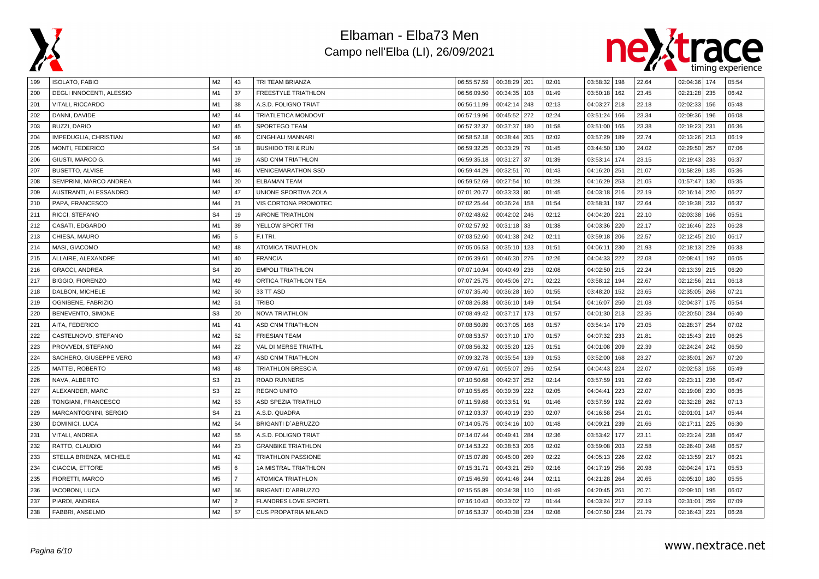



| 199 | <b>ISOLATO, FABIO</b>        | M2             | 43             | TRI TEAM BRIANZA             | 06:55:57.59 | 00:38:29   201 |     | 02:01 | 03:58:32 198 |     | 22.64 | 02:04:36   174    | 05:54 |
|-----|------------------------------|----------------|----------------|------------------------------|-------------|----------------|-----|-------|--------------|-----|-------|-------------------|-------|
| 200 | DEGLI INNOCENTI, ALESSIO     | M1             | 37             | <b>FREESTYLE TRIATHLON</b>   | 06:56:09.50 | 00:34:35       | 108 | 01:49 | 03:50:18     | 162 | 23.45 | 02:21:28   235    | 06:42 |
| 201 | VITALI, RICCARDO             | M1             | 38             | A.S.D. FOLIGNO TRIAT         | 06:56:11.99 | 00:42:14       | 248 | 02:13 | 04:03:27     | 218 | 22.18 | 02:02:33   156    | 05:48 |
| 202 | DANNI, DAVIDE                | M <sub>2</sub> | 44             | TRIATLETICA MONDOVI'         | 06:57:19.96 | 00:45:52       | 272 | 02:24 | 03:51:24     | 166 | 23.34 | 02:09:36   196    | 06:08 |
| 203 | <b>BUZZI, DARIO</b>          | M <sub>2</sub> | 45             | SPORTEGO TEAM                | 06:57:32.37 | 00:37:37       | 180 | 01:58 | 03:51:00     | 165 | 23.38 | 02:19:23 231      | 06:36 |
| 204 | <b>IMPEDUGLIA, CHRISTIAN</b> | M <sub>2</sub> | 46             | CINGHIALI MANNARI            | 06:58:52.18 | 00:38:44       | 205 | 02:02 | 03:57:29     | 189 | 22.74 | 02:13:26 213      | 06:19 |
| 205 | <b>MONTI, FEDERICO</b>       | S <sub>4</sub> | 18             | <b>BUSHIDO TRI &amp; RUN</b> | 06:59:32.25 | 00:33:29       | 79  | 01:45 | 03:44:50     | 130 | 24.02 | 02:29:50 257      | 07:06 |
| 206 | GIUSTI, MARCO G.             | M4             | 19             | <b>ASD CNM TRIATHLON</b>     | 06:59:35.18 | 00:31:27       | 37  | 01:39 | 03:53:14     | 174 | 23.15 | 02:19:43   233    | 06:37 |
| 207 | <b>BUSETTO, ALVISE</b>       | M <sub>3</sub> | 46             | <b>VENICEMARATHON SSD</b>    | 06:59:44.29 | 00:32:51       | 70  | 01:43 | 04:16:20     | 251 | 21.07 | 01:58:29   135    | 05:36 |
| 208 | SEMPRINI, MARCO ANDREA       | M <sub>4</sub> | 20             | <b>ELBAMAN TEAM</b>          | 06:59:52.69 | 00:27:54       | 10  | 01:28 | 04:16:29     | 253 | 21.05 | 01:57:47<br>  130 | 05:35 |
| 209 | AUSTRANTI. ALESSANDRO        | M <sub>2</sub> | 47             | UNIONE SPORTIVA ZOLA         | 07:01:20.77 | 00:33:33       | 80  | 01:45 | 04:03:18     | 216 | 22.19 | 02:16:14<br>220   | 06:27 |
| 210 | PAPA, FRANCESCO              | M4             | 21             | VIS CORTONA PROMOTEC         | 07:02:25.44 | 00:36:24       | 158 | 01:54 | 03:58:31     | 197 | 22.64 | 02:19:38   232    | 06:37 |
| 211 | RICCI, STEFANO               | S <sub>4</sub> | 19             | <b>AIRONE TRIATHLON</b>      | 07:02:48.62 | 00:42:02       | 246 | 02:12 | 04:04:20     | 221 | 22.10 | 02:03:38   166    | 05:51 |
| 212 | CASATI, EDGARDO              | M1             | 39             | YELLOW SPORT TRI             | 07:02:57.92 | 00:31:18       | 33  | 01:38 | 04:03:36     | 220 | 22.17 | 02:16:46   223    | 06:28 |
| 213 | CHIESA, MAURO                | M <sub>5</sub> | 5              | F.I.TRI.                     | 07:03:52.60 | 00:41:38       | 242 | 02:11 | 03:59:18     | 206 | 22.57 | 02:12:45 210      | 06:17 |
| 214 | MASI, GIACOMO                | M <sub>2</sub> | 48             | <b>ATOMICA TRIATHLON</b>     | 07:05:06.53 | 00:35:10       | 123 | 01:51 | 04:06:1      | 230 | 21.93 | 02:18:13 229      | 06:33 |
| 215 | ALLAIRE, ALEXANDRE           | M1             | 40             | <b>FRANCIA</b>               | 07:06:39.61 | 00:46:30       | 276 | 02:26 | 04:04:33     | 222 | 22.08 | 02:08:41<br>  192 | 06:05 |
| 216 | <b>GRACCI, ANDREA</b>        | S <sub>4</sub> | 20             | <b>EMPOLI TRIATHLON</b>      | 07:07:10.94 | 00:40:49       | 236 | 02:08 | 04:02:50     | 215 | 22.24 | 02:13:39 215      | 06:20 |
| 217 | <b>BIGGIO, FIORENZO</b>      | M <sub>2</sub> | 49             | ORTICA TRIATHLON TEA         | 07:07:25.75 | 00:45:06       | 271 | 02:22 | 03:58:12     | 194 | 22.67 | 02:12:56 211      | 06:18 |
| 218 | DALBON, MICHELE              | M <sub>2</sub> | 50             | 33 TT ASD                    | 07:07:35.40 | 00:36:28       | 160 | 01:55 | 03:48:20     | 152 | 23.65 | 02:35:05   268    | 07:21 |
| 219 | OGNIBENE, FABRIZIO           | M <sub>2</sub> | 51             | TRIBO                        | 07:08:26.88 | 00:36:10       | 149 | 01:54 | 04:16:07     | 250 | 21.08 | 02:04:37   175    | 05:54 |
| 220 | BENEVENTO, SIMONE            | S <sub>3</sub> | 20             | <b>NOVA TRIATHLON</b>        | 07:08:49.42 | 00:37:17       | 173 | 01:57 | 04:01:30     | 213 | 22.36 | 02:20:50 234      | 06:40 |
| 221 | AITA, FEDERICO               | M1             | 41             | <b>ASD CNM TRIATHLON</b>     | 07:08:50.89 | 00:37:05       | 168 | 01:57 | 03:54:14     | 179 | 23.05 | 02:28:37<br>1254  | 07:02 |
| 222 | CASTELNOVO, STEFANO          | M <sub>2</sub> | 52             | <b>FRIESIAN TEAM</b>         | 07:08:53.57 | 00:37:10       | 170 | 01:57 | 04:07:32     | 233 | 21.81 | 02:15:43 219      | 06:25 |
| 223 | PROVVEDI, STEFANO            | M4             | 22             | VAL DI MERSE TRIATHL         | 07:08:56.32 | 00:35:20       | 125 | 01:51 | 04:01:08     | 209 | 22.39 | 02:24:24 242      | 06:50 |
| 224 | SACHERO, GIUSEPPE VERO       | M <sub>3</sub> | 47             | <b>ASD CNM TRIATHLON</b>     | 07:09:32.78 | 00:35:54       | 139 | 01:53 | 03:52:00     | 168 | 23.27 | 02:35:01   267    | 07:20 |
| 225 | MATTEI, ROBERTO              | M <sub>3</sub> | 48             | TRIATHLON BRESCIA            | 07:09:47.61 | 00:55:07       | 296 | 02:54 | 04:04:43     | 224 | 22.07 | 02:02:53<br>  158 | 05:49 |
| 226 | NAVA. ALBERTO                | S <sub>3</sub> | 21             | <b>ROAD RUNNERS</b>          | 07:10:50.68 | 00:42:37       | 252 | 02:14 | 03:57:59     | 191 | 22.69 | 02:23:11<br>236   | 06:47 |
| 227 | ALEXANDER, MARC              | S <sub>3</sub> | 22             | <b>REGNO UNITO</b>           | 07:10:55.65 | 00:39:39       | 222 | 02:05 | 04:04:41     | 223 | 22.07 | 02:19:08   230    | 06:35 |
| 228 | TONGIANI, FRANCESCO          | M <sub>2</sub> | 53             | ASD SPEZIA TRIATHLO          | 07:11:59.68 | 00:33:51       | 91  | 01:46 | 03:57:59     | 192 | 22.69 | 02:32:28   262    | 07:13 |
| 229 | MARCANTOGNINI, SERGIO        | S <sub>4</sub> | 21             | A.S.D. QUADRA                | 07:12:03.37 | 00:40:19       | 230 | 02:07 | 04:16:58     | 254 | 21.01 | 02:01:01<br>  147 | 05:44 |
| 230 | DOMINICI, LUCA               | M <sub>2</sub> | 54             | BRIGANTI D'ABRUZZO           | 07:14:05.75 | 00:34:16       | 100 | 01:48 | 04:09:21     | 239 | 21.66 | 02:17:11<br>225   | 06:30 |
| 231 | VITALI, ANDREA               | M <sub>2</sub> | 55             | A.S.D. FOLIGNO TRIAT         | 07:14:07.44 | 00:49:41       | 284 | 02:36 | 03:53:42     | 177 | 23.11 | 02:23:24   238    | 06:47 |
| 232 | RATTO, CLAUDIO               | M4             | 23             | <b>GRANBIKE TRIATHLON</b>    | 07:14:53.22 | 00:38:53       | 206 | 02:02 | 03:59:08     | 203 | 22.58 | 02:26:40 248      | 06:57 |
| 233 | STELLA BRIENZA, MICHELE      | M1             | 42             | <b>TRIATHLON PASSIONE</b>    | 07:15:07.89 | 00:45:00       | 269 | 02:22 | 04:05:13     | 226 | 22.02 | 02:13:59 217      | 06:21 |
| 234 | CIACCIA, ETTORE              | M <sub>5</sub> | 6              | 1A MISTRAL TRIATHLON         | 07:15:31.71 | 00:43:21       | 259 | 02:16 | 04:17:19     | 256 | 20.98 | 02:04:24 171      | 05:53 |
| 235 | FIORETTI, MARCO              | M <sub>5</sub> | $\overline{7}$ | <b>ATOMICA TRIATHLON</b>     | 07:15:46.59 | 00:41:46       | 244 | 02:11 | 04:21:28     | 264 | 20.65 | 02:05:10 180      | 05:55 |
| 236 | <b>IACOBONI, LUCA</b>        | M <sub>2</sub> | 56             | BRIGANTI D'ABRUZZO           | 07:15:55.89 | 00:34:38       | 110 | 01:49 | 04:20:45     | 261 | 20.71 | 02:09:10 195      | 06:07 |
| 237 | PIARDI, ANDREA               | M7             | $\overline{2}$ | <b>FLANDRES LOVE SPORTL</b>  | 07:16:10.43 | 00:33:02       | 72  | 01:44 | 04:03:24     | 217 | 22.19 | 259<br>02:31:01   | 07:09 |
| 238 | FABBRI. ANSELMO              | M <sub>2</sub> | 57             | <b>CUS PROPATRIA MILANO</b>  | 07:16:53.37 | 00:40:38       | 234 | 02:08 | 04:07:50     | 234 | 21.79 | 02:16:43 221      | 06:28 |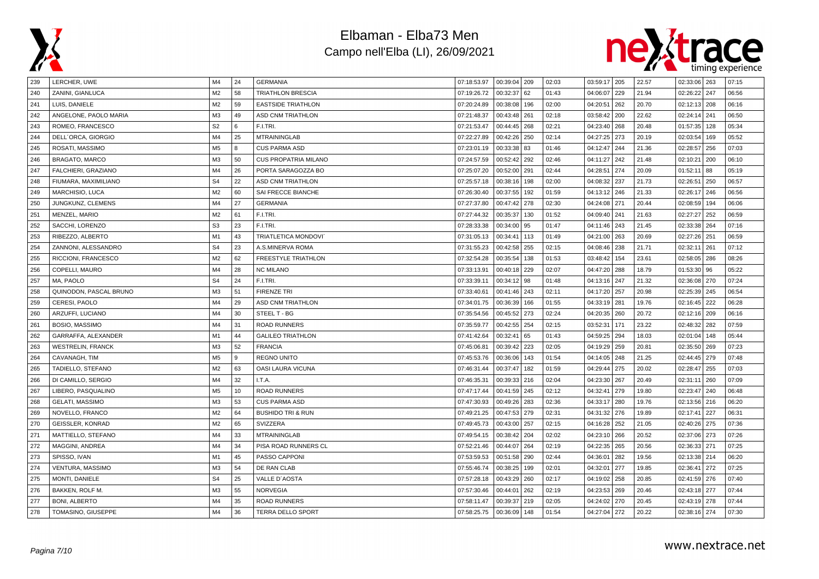



| 239 | LERCHER, UWE             | M4             | 24 | <b>GERMANIA</b>              | 07:18:53.97 | 00:39:04   209 |     | 02:03 | 03:59:17 205 |     | 22.57 | 02:33:06   263 |     | 07:15 |
|-----|--------------------------|----------------|----|------------------------------|-------------|----------------|-----|-------|--------------|-----|-------|----------------|-----|-------|
| 240 | ZANINI, GIANLUCA         | M <sub>2</sub> | 58 | <b>TRIATHLON BRESCIA</b>     | 07:19:26.72 | 00:32:37       | 62  | 01:43 | 04:06:07     | 229 | 21.94 | 02:26:22       | 247 | 06:56 |
| 241 | LUIS, DANIELE            | M <sub>2</sub> | 59 | <b>EASTSIDE TRIATHLON</b>    | 07:20:24.89 | 00:38:08       | 196 | 02:00 | 04:20:51     | 262 | 20.70 | 02:12:13       | 208 | 06:16 |
| 242 | ANGELONE, PAOLO MARIA    | M3             | 49 | <b>ASD CNM TRIATHLON</b>     | 07:21:48.37 | 00:43:48       | 261 | 02:18 | 03:58:42     | 200 | 22.62 | 02:24:14       | 241 | 06:50 |
| 243 | ROMEO, FRANCESCO         | S <sub>2</sub> | 6  | F.I.TRI.                     | 07:21:53.47 | 00:44:45       | 268 | 02:21 | 04:23:40 268 |     | 20.48 | 01:57:35       | 128 | 05:34 |
| 244 | DELL'ORCA, GIORGIO       | M4             | 25 | <b>MTRAININGLAB</b>          | 07:22:27.89 | 00:42:26       | 250 | 02:14 | 04:27:25     | 273 | 20.19 | 02:03:54       | 169 | 05:52 |
| 245 | ROSATI, MASSIMO          | M <sub>5</sub> | 8  | <b>CUS PARMA ASD</b>         | 07:23:01.19 | 00:33:38       | 83  | 01:46 | 04:12:47     | 244 | 21.36 | 02:28:57       | 256 | 07:03 |
| 246 | <b>BRAGATO, MARCO</b>    | M3             | 50 | <b>CUS PROPATRIA MILANO</b>  | 07:24:57.59 | 00:52:42       | 292 | 02:46 | 04:11:27 242 |     | 21.48 | 02:10:21       | 200 | 06:10 |
| 247 | FALCHIERI, GRAZIANO      | M4             | 26 | PORTA SARAGOZZA BO           | 07:25:07.20 | 00:52:00       | 291 | 02:44 | 04:28:51     | 274 | 20.09 | 01:52:11       | 88  | 05:19 |
| 248 | FIUMARA, MAXIMILIANO     | S <sub>4</sub> | 22 | <b>ASD CNM TRIATHLON</b>     | 07:25:57.18 | 00:38:16       | 198 | 02:00 | 04:08:32     | 237 | 21.73 | 02:26:51       | 250 | 06:57 |
| 249 | <b>MARCHISIO, LUCA</b>   | M <sub>2</sub> | 60 | SAI FRECCE BIANCHE           | 07:26:30.40 | 00:37:55       | 192 | 01:59 | 04:13:12     | 246 | 21.33 | 02:26:17       | 246 | 06:56 |
| 250 | JUNGKUNZ, CLEMENS        | M4             | 27 | <b>GERMANIA</b>              | 07:27:37.80 | 00:47:42       | 278 | 02:30 | 04:24:08     | 271 | 20.44 | 02:08:59       | 194 | 06:06 |
| 251 | MENZEL, MARIO            | M <sub>2</sub> | 61 | F.I.TRI.                     | 07:27:44.32 | 00:35:37       | 130 | 01:52 | 04:09:40     | 241 | 21.63 | 02:27:27       | 252 | 06:59 |
| 252 | SACCHI, LORENZO          | S <sub>3</sub> | 23 | F.I.TRI.                     | 07:28:33.38 | 00:34:00       | 95  | 01:47 | 04:11:46 243 |     | 21.45 | 02:33:38       | 264 | 07:16 |
| 253 | RIBEZZO, ALBERTO         | M1             | 43 | <b>TRIATLETICA MONDOVI</b>   | 07:31:05.13 | 00:34:41       | 113 | 01:49 | 04:21:00 263 |     | 20.69 | 02:27:26       | 251 | 06:59 |
| 254 | ZANNONI, ALESSANDRO      | S <sub>4</sub> | 23 | A.S.MINERVA ROMA             | 07:31:55.23 | 00:42:58       | 255 | 02:15 | 04:08:46     | 238 | 21.71 | 02:32:11       | 261 | 07:12 |
| 255 | RICCIONI, FRANCESCO      | M <sub>2</sub> | 62 | FREESTYLE TRIATHLON          | 07:32:54.28 | 00:35:54       | 138 | 01:53 | 03:48:42     | 154 | 23.61 | 02:58:05   286 |     | 08:26 |
| 256 | COPELLI, MAURO           | M4             | 28 | <b>NC MILANO</b>             | 07:33:13.91 | 00:40:18       | 229 | 02:07 | 04:47:20 288 |     | 18.79 | 01:53:30       | 96  | 05:22 |
| 257 | MA, PAOLO                | S <sub>4</sub> | 24 | F.I.TRI.                     | 07:33:39.11 | 00:34:12       | 98  | 01:48 | 04:13:16 247 |     | 21.32 | 02:36:08       | 270 | 07:24 |
| 258 | QUINODON, PASCAL BRUNO   | M <sub>3</sub> | 51 | <b>FIRENZE TRI</b>           | 07:33:40.61 | 00:41:46       | 243 | 02:11 | 04:17:20     | 257 | 20.98 | 02:25:39       | 245 | 06:54 |
| 259 | CERESI, PAOLO            | M4             | 29 | <b>ASD CNM TRIATHLON</b>     | 07:34:01.75 | 00:36:39       | 166 | 01:55 | 04:33:19 281 |     | 19.76 | 02:16:45       | 222 | 06:28 |
| 260 | ARZUFFI, LUCIANO         | M4             | 30 | STEEL T - BG                 | 07:35:54.56 | 00:45:52       | 273 | 02:24 | 04:20:35 260 |     | 20.72 | 02:12:16       | 209 | 06:16 |
| 261 | BOSIO, MASSIMO           | M4             | 31 | <b>ROAD RUNNERS</b>          | 07:35:59.77 | 00:42:55       | 254 | 02:15 | 03:52:31     | 171 | 23.22 | 02:48:32       | 282 | 07:59 |
| 262 | GARRAFFA, ALEXANDER      | M1             | 44 | <b>GALILEO TRIATHLON</b>     | 07:41:42.64 | 00:32:41       | 65  | 01:43 | 04:59:25     | 294 | 18.03 | 02:01:04       | 148 | 05:44 |
| 263 | <b>WESTRELIN, FRANCK</b> | M <sub>3</sub> | 52 | <b>FRANCIA</b>               | 07:45:06.81 | 00:39:42       | 223 | 02:05 | 04:19:29 259 |     | 20.81 | 02:35:50       | 269 | 07:23 |
| 264 | CAVANAGH, TIM            | M <sub>5</sub> | 9  | <b>REGNO UNITO</b>           | 07:45:53.76 | 00:36:06       | 143 | 01:54 | 04:14:05 248 |     | 21.25 | 02:44:45   279 |     | 07:48 |
| 265 | TADIELLO, STEFANO        | M <sub>2</sub> | 63 | OASI LAURA VICUNA            | 07:46:31.44 | 00:37:47       | 182 | 01:59 | 04:29:44 275 |     | 20.02 | 02:28:47       | 255 | 07:03 |
| 266 | DI CAMILLO, SERGIO       | M4             | 32 | I.T.A.                       | 07:46:35.31 | 00:39:33       | 216 | 02:04 | 04:23:30     | 267 | 20.49 | 02:31:11       | 260 | 07:09 |
| 267 | LIBERO, PASQUALINO       | M <sub>5</sub> | 10 | <b>ROAD RUNNERS</b>          | 07:47:17.44 | 00:41:59       | 245 | 02:12 | 04:32:41     | 279 | 19.80 | 02:23:47       | 240 | 06:48 |
| 268 | <b>GELATI, MASSIMO</b>   | M <sub>3</sub> | 53 | <b>CUS PARMA ASD</b>         | 07:47:30.93 | 00:49:26 283   |     | 02:36 | 04:33:17 280 |     | 19.76 | 02:13:56 216   |     | 06:20 |
| 269 | NOVELLO, FRANCO          | M <sub>2</sub> | 64 | <b>BUSHIDO TRI &amp; RUN</b> | 07:49:21.25 | 00:47:53       | 279 | 02:31 | 04:31:32 276 |     | 19.89 | 02:17:41       | 227 | 06:31 |
| 270 | <b>GEISSLER, KONRAD</b>  | M <sub>2</sub> | 65 | SVIZZERA                     | 07:49:45.73 | 00:43:00       | 257 | 02:15 | 04:16:28     | 252 | 21.05 | 02:40:26       | 275 | 07:36 |
| 271 | MATTIELLO, STEFANO       | M4             | 33 | <b>MTRAININGLAB</b>          | 07:49:54.15 | 00:38:42       | 204 | 02:02 | 04:23:10 266 |     | 20.52 | 02:37:06       | 273 | 07:26 |
| 272 | MAGGINI, ANDREA          | M4             | 34 | PISA ROAD RUNNERS CL         | 07:52:21.46 | 00:44:07       | 264 | 02:19 | 04:22:35 265 |     | 20.56 | 02:36:33 271   |     | 07:25 |
| 273 | SPISSO, IVAN             | M1             | 45 | PASSO CAPPONI                | 07:53:59.53 | 00:51:58       | 290 | 02:44 | 04:36:01     | 282 | 19.56 | 02:13:38       | 214 | 06:20 |
| 274 | VENTURA, MASSIMO         | M3             | 54 | DE RAN CLAB                  | 07:55:46.74 | 00:38:25       | 199 | 02:01 | 04:32:01     | 277 | 19.85 | 02:36:41       | 272 | 07:25 |
| 275 | MONTI, DANIELE           | S <sub>4</sub> | 25 | VALLE D'AOSTA                | 07:57:28.18 | 00:43:29       | 260 | 02:17 | 04:19:02     | 258 | 20.85 | 02:41:59       | 276 | 07:40 |
| 276 | BAKKEN, ROLF M.          | M <sub>3</sub> | 55 | <b>NORVEGIA</b>              | 07:57:30.46 | 00:44:01       | 262 | 02:19 | 04:23:53 269 |     | 20.46 | 02:43:18 277   |     | 07:44 |
| 277 | <b>BONI, ALBERTO</b>     | M4             | 35 | <b>ROAD RUNNERS</b>          | 07:58:11.47 | 00:39:37       | 219 | 02:05 | 04:24:02     | 270 | 20.45 | 02:43:19       | 278 | 07:44 |
| 278 | TOMASINO, GIUSEPPE       | M4             | 36 | <b>TERRA DELLO SPORT</b>     | 07:58:25.75 | 00:36:09       | 148 | 01:54 | 04:27:04 272 |     | 20.22 | 02:38:16 274   |     | 07:30 |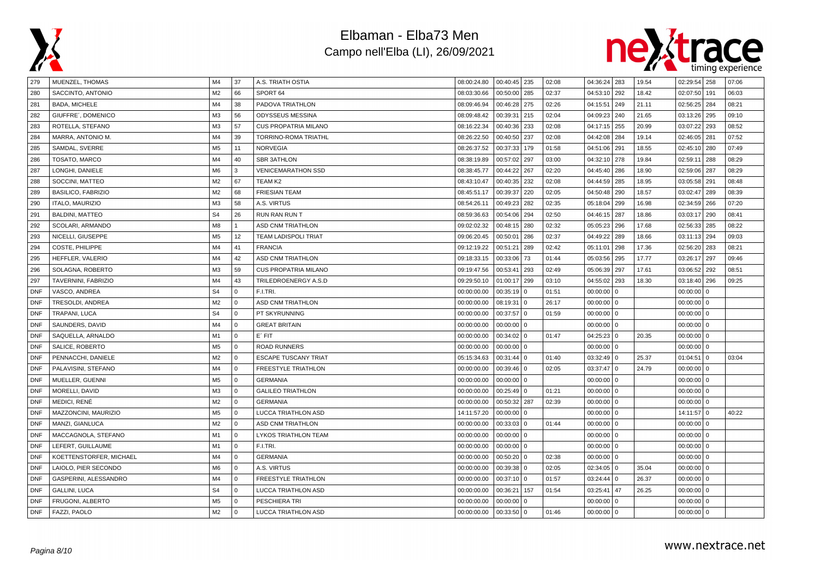



| 279        | MUENZEL, THOMAS           | M4             | 37          | A.S. TRIATH OSTIA           | 08:00:24.80 | 00:40:45 235   |                | 02:08 | 04:36:24 283 |          | 19.54 | 02:29:54 258   |              | 07:06 |
|------------|---------------------------|----------------|-------------|-----------------------------|-------------|----------------|----------------|-------|--------------|----------|-------|----------------|--------------|-------|
| 280        | SACCINTO, ANTONIO         | M <sub>2</sub> | 66          | SPORT 64                    | 08:03:30.66 | 00:50:00   285 |                | 02:37 | 04:53:10 292 |          | 18.42 | 02:07:50       | 191          | 06:03 |
| 281        | BADA, MICHELE             | M4             | 38          | PADOVA TRIATHLON            | 08:09:46.94 | 00:46:28       | 275            | 02:26 | 04:15:51     | 249      | 21.11 | 02:56:25   284 |              | 08:21 |
| 282        | GIUFFRE', DOMENICO        | M <sub>3</sub> | 56          | ODYSSEUS MESSINA            | 08:09:48.42 | 00:39:31       | 215            | 02:04 | 04:09:23     | 240      | 21.65 | 03:13:26       | 295          | 09:10 |
| 283        | ROTELLA, STEFANO          | M <sub>3</sub> | 57          | <b>CUS PROPATRIA MILANO</b> | 08:16:22.34 | 00:40:36       | 233            | 02:08 | 04:17:15     | 255      | 20.99 | 03:07:22       | 293          | 08:52 |
| 284        | MARRA, ANTONIO M.         | M4             | 39          | TORRINO-ROMA TRIATHL        | 08:26:22.50 | 00:40:50       | 237            | 02:08 | 04:42:08 284 |          | 19.14 | 02:46:05       | 281          | 07:52 |
| 285        | SAMDAL, SVERRE            | M <sub>5</sub> | 11          | <b>NORVEGIA</b>             | 08:26:37.52 | 00:37:33       | 179            | 01:58 | 04:51:06 291 |          | 18.55 | 02:45:10       | 280          | 07:49 |
| 286        | TOSATO, MARCO             | M4             | 40          | <b>SBR 3ATHLON</b>          | 08:38:19.89 | 00:57:02       | 297            | 03:00 | 04:32:10     | 278      | 19.84 | 02:59:11       | 288          | 08:29 |
| 287        | LONGHI, DANIELE           | M <sub>6</sub> | 3           | <b>VENICEMARATHON SSD</b>   | 08:38:45.77 | 00:44:22       | 267            | 02:20 | 04:45:40 286 |          | 18.90 | 02:59:06 287   |              | 08:29 |
| 288        | SOCCINI, MATTEO           | M <sub>2</sub> | 67          | TEAM K2                     | 08:43:10.47 | 00:40:35       | 232            | 02:08 | 04:44:59 285 |          | 18.95 | 03:05:58       | 291          | 08:48 |
| 289        | <b>BASILICO, FABRIZIO</b> | M <sub>2</sub> | 68          | <b>FRIESIAN TEAM</b>        | 08:45:51.17 | 00:39:37       | 220            | 02:05 | 04:50:48     | 290      | 18.57 | 03:02:47       | 289          | 08:39 |
| 290        | <b>ITALO, MAURIZIO</b>    | M <sub>3</sub> | 58          | A.S. VIRTUS                 | 08:54:26.11 | 00:49:23       | 282            | 02:35 | 05:18:04     | 299      | 16.98 | 02:34:59       | 266          | 07:20 |
| 291        | <b>BALDINI, MATTEO</b>    | S <sub>4</sub> | 26          | <b>RUN RAN RUN T</b>        | 08:59:36.63 | 00:54:06       | 294            | 02:50 | 04:46:15     | 287      | 18.86 | 03:03:17       | 290          | 08:41 |
| 292        | SCOLARI, ARMANDO          | M <sub>8</sub> |             | <b>ASD CNM TRIATHLON</b>    | 09:02:02.32 | $00:48:15$ 280 |                | 02:32 | 05:05:23 296 |          | 17.68 | 02:56:33       | 285          | 08:22 |
| 293        | NICELLI, GIUSEPPE         | M <sub>5</sub> | 12          | <b>TEAM LADISPOLI TRIAT</b> | 09:06:20.45 | 00:50:01       | 286            | 02:37 | 04:49:22     | 289      | 18.66 | 03:11:13 294   |              | 09:03 |
| 294        | COSTE, PHILIPPE           | M4             | 41          | <b>FRANCIA</b>              | 09:12:19.22 | 00:51:21       | 289            | 02:42 | 05:11:01     | 298      | 17.36 | 02:56:20       | 283          | 08:21 |
| 295        | HEFFLER, VALERIO          | M4             | 42          | ASD CNM TRIATHLON           | 09:18:33.15 | 00:33:06       | 73             | 01:44 | 05:03:56 295 |          | 17.77 | 03:26:17       | 297          | 09:46 |
| 296        | SOLAGNA, ROBERTO          | M3             | 59          | <b>CUS PROPATRIA MILANO</b> | 09:19:47.56 | 00:53:41       | 293            | 02:49 | 05:06:39 297 |          | 17.61 | 03:06:52       | 292          | 08:51 |
| 297        | TAVERNINI, FABRIZIO       | M4             | 43          | TRILEDROENERGY A.S.D        | 09:29:50.10 | 01:00:17       | 299            | 03:10 | 04:55:02 293 |          | 18.30 | 03:18:40       | 296          | 09:25 |
| <b>DNF</b> | VASCO, ANDREA             | S <sub>4</sub> | $\Omega$    | F.I.TRI.                    | 00:00:00.00 | 00:35:19       | $\overline{0}$ | 01:51 | 00:00:00     | $\Omega$ |       | 00:00:00       | $\mathbf{0}$ |       |
| <b>DNF</b> | TRESOLDI, ANDREA          | M <sub>2</sub> | $\mathbf 0$ | <b>ASD CNM TRIATHLON</b>    | 00:00:00.00 | 08:19:31       | $\overline{0}$ | 26:17 | 00:00:00 0   |          |       | $00:00:00$ 0   |              |       |
| <b>DNF</b> | TRAPANI, LUCA             | S <sub>4</sub> | $\mathbf 0$ | PT SKYRUNNING               | 00:00:00.00 | $00:37:57$ 0   |                | 01:59 | $00:00:00$ 0 |          |       | $00:00:00$ 0   |              |       |
| <b>DNF</b> | SAUNDERS, DAVID           | M4             | $\Omega$    | <b>GREAT BRITAIN</b>        | 00:00:00.00 | 00:00:00       | $\overline{0}$ |       | 00:00:00 0   |          |       | $00:00:00$ 0   |              |       |
| <b>DNF</b> | SAQUELLA, ARNALDO         | M1             | $\mathbf 0$ | E' FIT                      | 00:00:00.00 | 00:34:02       | $\overline{0}$ | 01:47 | $04:25:23$ 0 |          | 20.35 | $00:00:00$ 0   |              |       |
| <b>DNF</b> | SALICE, ROBERTO           | M <sub>5</sub> | $\Omega$    | <b>ROAD RUNNERS</b>         | 00:00:00.00 | $00:00:00$ 0   |                |       | $00:00:00$ 0 |          |       | $00:00:00$ 0   |              |       |
| <b>DNF</b> | PENNACCHI, DANIELE        | M <sub>2</sub> | $\mathbf 0$ | <b>ESCAPE TUSCANY TRIAT</b> | 05:15:34.63 | $00:31:44$ 0   |                | 01:40 | 03:32:49 0   |          | 25.37 | 01:04:51       | l 0          | 03:04 |
| <b>DNF</b> | PALAVISINI, STEFANO       | M4             | $\Omega$    | FREESTYLE TRIATHLON         | 00:00:00.00 | $00:39:46$ 0   |                | 02:05 | 03:37:47 0   |          | 24.79 | $00:00:00$ 0   |              |       |
| <b>DNF</b> | MUELLER, GUENNI           | M <sub>5</sub> | $\Omega$    | <b>GERMANIA</b>             | 00:00:00.00 | $00:00:00$ 0   |                |       | 00:00:00 0   |          |       | 00:00:00       | 0            |       |
| <b>DNF</b> | MORELLI, DAVID            | M <sub>3</sub> | $\Omega$    | <b>GALILEO TRIATHLON</b>    | 00:00:00.00 | 00:25:49       | $\overline{0}$ | 01:21 | 00:00:00 0   |          |       | $00:00:00$ 0   |              |       |
| <b>DNF</b> | <b>MEDICI, RENÉ</b>       | M <sub>2</sub> | $\Omega$    | <b>GERMANIA</b>             | 00:00:00.00 | 00:50:32 287   |                | 02:39 | $00:00:00$ 0 |          |       | $00:00:00$ 0   |              |       |
| <b>DNF</b> | MAZZONCINI, MAURIZIO      | M <sub>5</sub> | $\mathbf 0$ | LUCCA TRIATHLON ASD         | 14:11:57.20 | 00:00:00       | $\overline{0}$ |       | $00:00:00$ 0 |          |       | $14:11:57$ 0   |              | 40:22 |
| <b>DNF</b> | MANZI, GIANLUCA           | M <sub>2</sub> | $\mathbf 0$ | <b>ASD CNM TRIATHLON</b>    | 00:00:00.00 | $00:33:03$ 0   |                | 01:44 | $00:00:00$ 0 |          |       | $00:00:00$ 0   |              |       |
| <b>DNF</b> | MACCAGNOLA, STEFANO       | M1             | $\Omega$    | LYKOS TRIATHLON TEAM        | 00:00:00.00 | $00:00:00$ 0   |                |       | $00:00:00$ 0 |          |       | $00:00:00$ 0   |              |       |
| <b>DNF</b> | LEFERT, GUILLAUME         | M1             | $\mathbf 0$ | F.I.TRI.                    | 00:00:00.00 | $00:00:00$ 0   |                |       | $00:00:00$ 0 |          |       | $00:00:00$ 0   |              |       |
| <b>DNF</b> | KOETTENSTORFER, MICHAEL   | M4             | $\Omega$    | <b>GERMANIA</b>             | 00:00:00.00 | 00:50:20       | $\Omega$       | 02:38 | $00:00:00$ 0 |          |       | $00:00:00$ 0   |              |       |
| <b>DNF</b> | LAIOLO, PIER SECONDO      | M6             | $\Omega$    | A.S. VIRTUS                 | 00:00:00.00 | $00:39:38$ 0   |                | 02:05 | 02:34:05     | $\Omega$ | 35.04 | 00:00:00       | l o          |       |
| <b>DNF</b> | GASPERINI, ALESSANDRO     | M4             | $\Omega$    | FREESTYLE TRIATHLON         | 00:00:00.00 | $00:37:10$ 0   |                | 01:57 | 03:24:44 0   |          | 26.37 | 00:00:00       | $\mathbf 0$  |       |
| <b>DNF</b> | <b>GALLINI, LUCA</b>      | S <sub>4</sub> | $\mathbf 0$ | LUCCA TRIATHLON ASD         | 00:00:00.00 | 00:36:21       | 157            | 01:54 | 03:25:41 47  |          | 26.25 | $00:00:00$ 0   |              |       |
| <b>DNF</b> | FRUGONI, ALBERTO          | M <sub>5</sub> | $\Omega$    | PESCHIERA TRI               | 00:00:00.00 | 00:00:00       | $\mathbf{0}$   |       | $00:00:00$ 0 |          |       | $00:00:00$ 0   |              |       |
| <b>DNF</b> | FAZZI, PAOLO              | M2             | $\Omega$    | LUCCA TRIATHLON ASD         | 00:00:00.00 | $00:33:50$ 0   |                | 01:46 | 00:00:00 0   |          |       | $00:00:00$ 0   |              |       |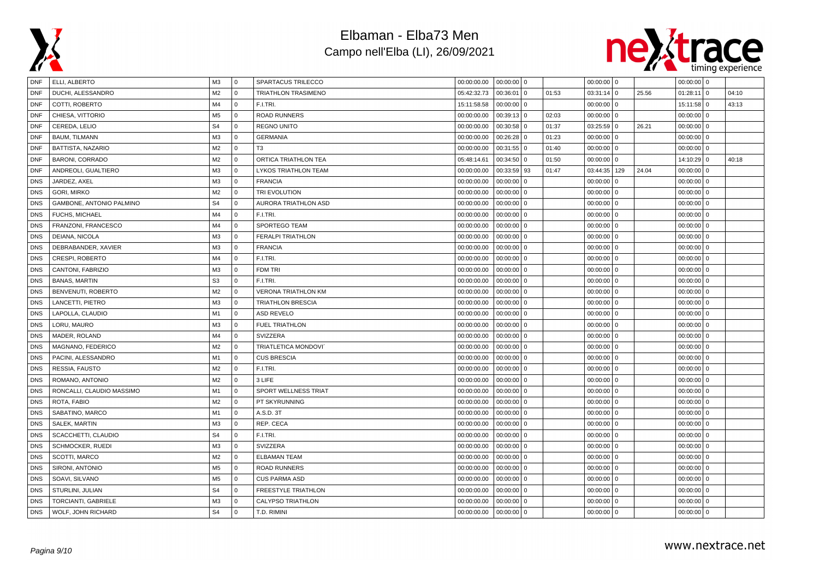



| <b>DNF</b> | ELLI, ALBERTO             | M3             | l 0          | SPARTACUS TRILECCO         | 00:00:00.00 | $00:00:00$ 0 |                |       | $00:00:00$ 0 |              |       | $00:00:00$ 0 |   |       |
|------------|---------------------------|----------------|--------------|----------------------------|-------------|--------------|----------------|-------|--------------|--------------|-------|--------------|---|-------|
| <b>DNF</b> | DUCHI, ALESSANDRO         | M <sub>2</sub> | $\mathbf{0}$ | <b>TRIATHLON TRASIMENO</b> | 05:42:32.73 | 00:36:01     | $\Omega$       | 01:53 | 03:31:14     | $\mathbf 0$  | 25.56 | 01:28:11     | 0 | 04:10 |
| <b>DNF</b> | COTTI, ROBERTO            | M4             | $\mathbf 0$  | F.I.TRI.                   | 15:11:58.58 | $00:00:00$ 0 |                |       | 00:00:00     | $\mathbf 0$  |       | $15:11:58$ 0 |   | 43:13 |
| <b>DNF</b> | CHIESA, VITTORIO          | M <sub>5</sub> | $\mathbf{0}$ | <b>ROAD RUNNERS</b>        | 00:00:00.00 | 00:39:13     | $\Omega$       | 02:03 | 00:00:00     | $\mathbf 0$  |       | $00:00:00$ 0 |   |       |
| <b>DNF</b> | CEREDA, LELIO             | S <sub>4</sub> | $\Omega$     | <b>REGNO UNITO</b>         | 00:00:00.00 | 00:30:58     | $\overline{0}$ | 01:37 | $03:25:59$ 0 |              | 26.21 | $00:00:00$ 0 |   |       |
| DNF        | <b>BAUM, TILMANN</b>      | M <sub>3</sub> | $\mathbf 0$  | <b>GERMANIA</b>            | 00:00:00.00 | 00:26:28     | 0              | 01:23 | $00:00:00$ 0 |              |       | $00:00:00$ 0 |   |       |
| <b>DNF</b> | BATTISTA, NAZARIO         | M <sub>2</sub> | $\mathbf 0$  | T <sub>3</sub>             | 00:00:00.00 | 00:31:55     | <b>0</b>       | 01:40 | 00:00:00     | $\mathbf{0}$ |       | $00:00:00$ 0 |   |       |
| <b>DNF</b> | BARONI, CORRADO           | M <sub>2</sub> | $\mathbf{0}$ | ORTICA TRIATHLON TEA       | 05:48:14.61 | 00:34:50     | <b>0</b>       | 01:50 | 00:00:00     | $\mathbf{0}$ |       | $14:10:29$ 0 |   | 40:18 |
| <b>DNF</b> | ANDREOLI, GUALTIERO       | M <sub>3</sub> | $\Omega$     | LYKOS TRIATHLON TEAM       | 00:00:00.00 | 00:33:59 93  |                | 01:47 | 03:44:35     | 129          | 24.04 | $00:00:00$ 0 |   |       |
| <b>DNS</b> | JARDEZ, AXEL              | M <sub>3</sub> | $\mathbf 0$  | <b>FRANCIA</b>             | 00:00:00.00 | 00:00:00     | $\Omega$       |       | 00:00:00     | $\Omega$     |       | $00:00:00$ 0 |   |       |
| <b>DNS</b> | GORI, MIRKO               | M <sub>2</sub> | $\mathbf 0$  | TRI EVOLUTION              | 00:00:00.00 | $00:00:00$ 0 |                |       | 00:00:00     | $\mathbf 0$  |       | $00:00:00$ 0 |   |       |
| <b>DNS</b> | GAMBONE, ANTONIO PALMINO  | S <sub>4</sub> | 0            | AURORA TRIATHLON ASD       | 00:00:00.00 | 00:00:00     | $\overline{0}$ |       | 00:00:00     | $\mathbf{0}$ |       | $00:00:00$ 0 |   |       |
| <b>DNS</b> | <b>FUCHS, MICHAEL</b>     | M4             | $\mathbf{0}$ | F.I.TRI.                   | 00:00:00.00 | $00:00:00$ 0 |                |       | $00:00:00$ 0 |              |       | $00:00:00$ 0 |   |       |
| <b>DNS</b> | FRANZONI, FRANCESCO       | M4             | $\mathbf 0$  | SPORTEGO TEAM              | 00:00:00.00 | $00:00:00$ 0 |                |       | $00:00:00$ 0 |              |       | $00:00:00$ 0 |   |       |
| <b>DNS</b> | DEIANA, NICOLA            | M <sub>3</sub> | $\Omega$     | <b>FERALPI TRIATHLON</b>   | 00:00:00.00 | $00:00:00$ 0 |                |       | 00:00:00     | $\mathbf{0}$ |       | $00:00:00$ 0 |   |       |
| <b>DNS</b> | DEBRABANDER, XAVIER       | M <sub>3</sub> | 0            | <b>FRANCIA</b>             | 00:00:00.00 | 00:00:00     | $\overline{0}$ |       | 00:00:00     | $\mathbf{0}$ |       | $00:00:00$ 0 |   |       |
| <b>DNS</b> | CRESPI, ROBERTO           | M4             | $\mathbf{0}$ | F.I.TRI.                   | 00:00:00.00 | 00:00:00     | $\overline{0}$ |       | 00:00:00     | $\mathbf 0$  |       | $00:00:00$ 0 |   |       |
| <b>DNS</b> | CANTONI, FABRIZIO         | M <sub>3</sub> | $\mathbf 0$  | FDM TRI                    | 00:00:00.00 | 00:00:00     | $\overline{0}$ |       | 00:00:00     | $\cdot$ 0    |       | $00:00:00$ 0 |   |       |
| <b>DNS</b> | <b>BANAS, MARTIN</b>      | S <sub>3</sub> | $\Omega$     | F.I.TRI.                   | 00:00:00.00 | $00:00:00$ 0 |                |       | 00:00:00     | $\Omega$     |       | $00:00:00$ 0 |   |       |
| <b>DNS</b> | BENVENUTI, ROBERTO        | M <sub>2</sub> | $\mathbf 0$  | <b>VERONA TRIATHLON KM</b> | 00:00:00.00 | 00:00:00     | $\overline{0}$ |       | 00:00:00     | $\Omega$     |       | $00:00:00$ 0 |   |       |
| <b>DNS</b> | LANCETTI, PIETRO          | M <sub>3</sub> | $\mathbf{0}$ | TRIATHLON BRESCIA          | 00:00:00.00 | 00:00:00     | $\overline{0}$ |       | 00:00:00     | $\mathbf 0$  |       | $00:00:00$ 0 |   |       |
| <b>DNS</b> | LAPOLLA, CLAUDIO          | M1             | $\mathbf 0$  | <b>ASD REVELO</b>          | 00:00:00.00 | 00:00:00     | $\Omega$       |       | $00:00:00$ 0 |              |       | $00:00:00$ 0 |   |       |
| <b>DNS</b> | LORU, MAURO               | M <sub>3</sub> | $\Omega$     | <b>FUEL TRIATHLON</b>      | 00:00:00.00 | 00:00:00     | $\overline{0}$ |       | 00:00:00     | $\mathbf{0}$ |       | $00:00:00$ 0 |   |       |
| <b>DNS</b> | MADER, ROLAND             | M4             | $\mathbf{0}$ | SVIZZERA                   | 00:00:00.00 | 00:00:00     | $\Omega$       |       | 00:00:00     | $\mathbf{0}$ |       | $00:00:00$ 0 |   |       |
| <b>DNS</b> | MAGNANO, FEDERICO         | M <sub>2</sub> | $\Omega$     | <b>TRIATLETICA MONDOVI</b> | 00:00:00.00 | 00:00:00     | $\overline{0}$ |       | 00:00:00     | $\mathbf{0}$ |       | $00:00:00$ 0 |   |       |
| <b>DNS</b> | PACINI, ALESSANDRO        | M1             | $\mathbf{0}$ | <b>CUS BRESCIA</b>         | 00:00:00.00 | $00:00:00$ 0 |                |       | 00:00:00     | $\mathbf{0}$ |       | $00:00:00$ 0 |   |       |
| <b>DNS</b> | RESSIA, FAUSTO            | M <sub>2</sub> | $\mathbf 0$  | F.I.TRI.                   | 00:00:00.00 | $00:00:00$ 0 |                |       | 00:00:00     | $\mathbf 0$  |       | $00:00:00$ 0 |   |       |
| <b>DNS</b> | ROMANO, ANTONIO           | M <sub>2</sub> | $\mathbf 0$  | 3 LIFE                     | 00:00:00.00 | 00:00:00     | $\overline{0}$ |       | 00:00:00     | $\Omega$     |       | $00:00:00$ 0 |   |       |
| <b>DNS</b> | RONCALLI, CLAUDIO MASSIMO | M1             | $\mathbf{0}$ | SPORT WELLNESS TRIAT       | 00:00:00.00 | $00:00:00$ 0 |                |       | 00:00:00     | $\mathbf 0$  |       | $00:00:00$ 0 |   |       |
| <b>DNS</b> | ROTA, FABIO               | M <sub>2</sub> | $\Omega$     | PT SKYRUNNING              | 00:00:00.00 | 00:00:00     | $\Omega$       |       | $00:00:00$ 0 |              |       | $00:00:00$ 0 |   |       |
| <b>DNS</b> | SABATINO, MARCO           | M1             | $\mathbf{0}$ | A.S.D. 3T                  | 00:00:00.00 | $00:00:00$ 0 |                |       | 00:00:00     | $\mathbf 0$  |       | $00:00:00$ 0 |   |       |
| <b>DNS</b> | SALEK, MARTIN             | M <sub>3</sub> | $\mathbf{0}$ | REP. CECA                  | 00:00:00.00 | 00:00:00     | $\mathbf 0$    |       | 00:00:00     | $\mathbf{0}$ |       | $00:00:00$ 0 |   |       |
| <b>DNS</b> | SCACCHETTI, CLAUDIO       | S <sub>4</sub> | $\mathbf{0}$ | F.I.TRI.                   | 00:00:00.00 | 00:00:00     | $\overline{0}$ |       | 00:00:00     | $\mathbf 0$  |       | $00:00:00$ 0 |   |       |
| <b>DNS</b> | SCHMOCKER, RUEDI          | M <sub>3</sub> | $\mathbf{0}$ | SVIZZERA                   | 00:00:00.00 | $00:00:00$ 0 |                |       | 00:00:00     | $\mathbf{0}$ |       | $00:00:00$ 0 |   |       |
| <b>DNS</b> | SCOTTI, MARCO             | M <sub>2</sub> | $\mathbf 0$  | <b>ELBAMAN TEAM</b>        | 00:00:00.00 | 00:00:00     | $\Omega$       |       | 00:00:00     | $\mathbf 0$  |       | $00:00:00$ 0 |   |       |
| <b>DNS</b> | SIRONI, ANTONIO           | M <sub>5</sub> | $\mathbf 0$  | <b>ROAD RUNNERS</b>        | 00:00:00.00 | 00:00:00     | $\overline{0}$ |       | 00:00:00     | $\Omega$     |       | $00:00:00$ 0 |   |       |
| <b>DNS</b> | SOAVI, SILVANO            | M <sub>5</sub> | $\mathbf 0$  | <b>CUS PARMA ASD</b>       | 00:00:00.00 | 00:00:00     | <b>0</b>       |       | 00:00:00     | $\mathbf{0}$ |       | $00:00:00$ 0 |   |       |
| <b>DNS</b> | STURLINI, JULIAN          | S <sub>4</sub> | $\mathbf{0}$ | <b>FREESTYLE TRIATHLON</b> | 00:00:00.00 | $00:00:00$ 0 |                |       | $00:00:00$ 0 |              |       | $00:00:00$ 0 |   |       |
| <b>DNS</b> | TORCIANTI, GABRIELE       | M <sub>3</sub> | $\mathbf{0}$ | CALYPSO TRIATHLON          | 00:00:00.00 | 00:00:00     | $\overline{0}$ |       | 00:00:00     | $\mathbf{0}$ |       | $00:00:00$ 0 |   |       |
| <b>DNS</b> | WOLF, JOHN RICHARD        | S <sub>4</sub> | $\mathbf{0}$ | T.D. RIMINI                | 00:00:00.00 | $00:00:00$ 0 |                |       | $00:00:00$ 0 |              |       | $00:00:00$ 0 |   |       |